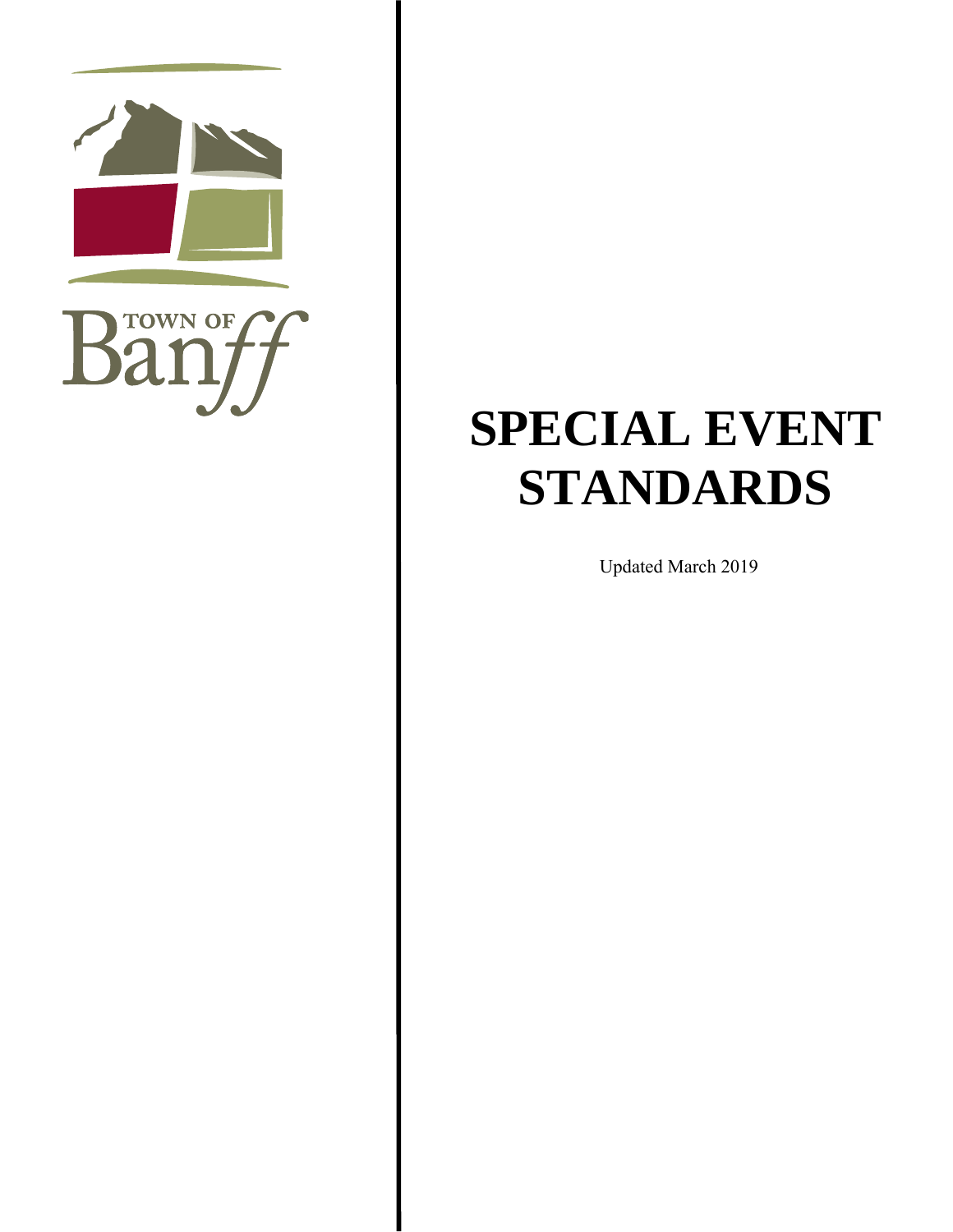

# **SPECIAL EVENT STANDARDS**

Updated March 2019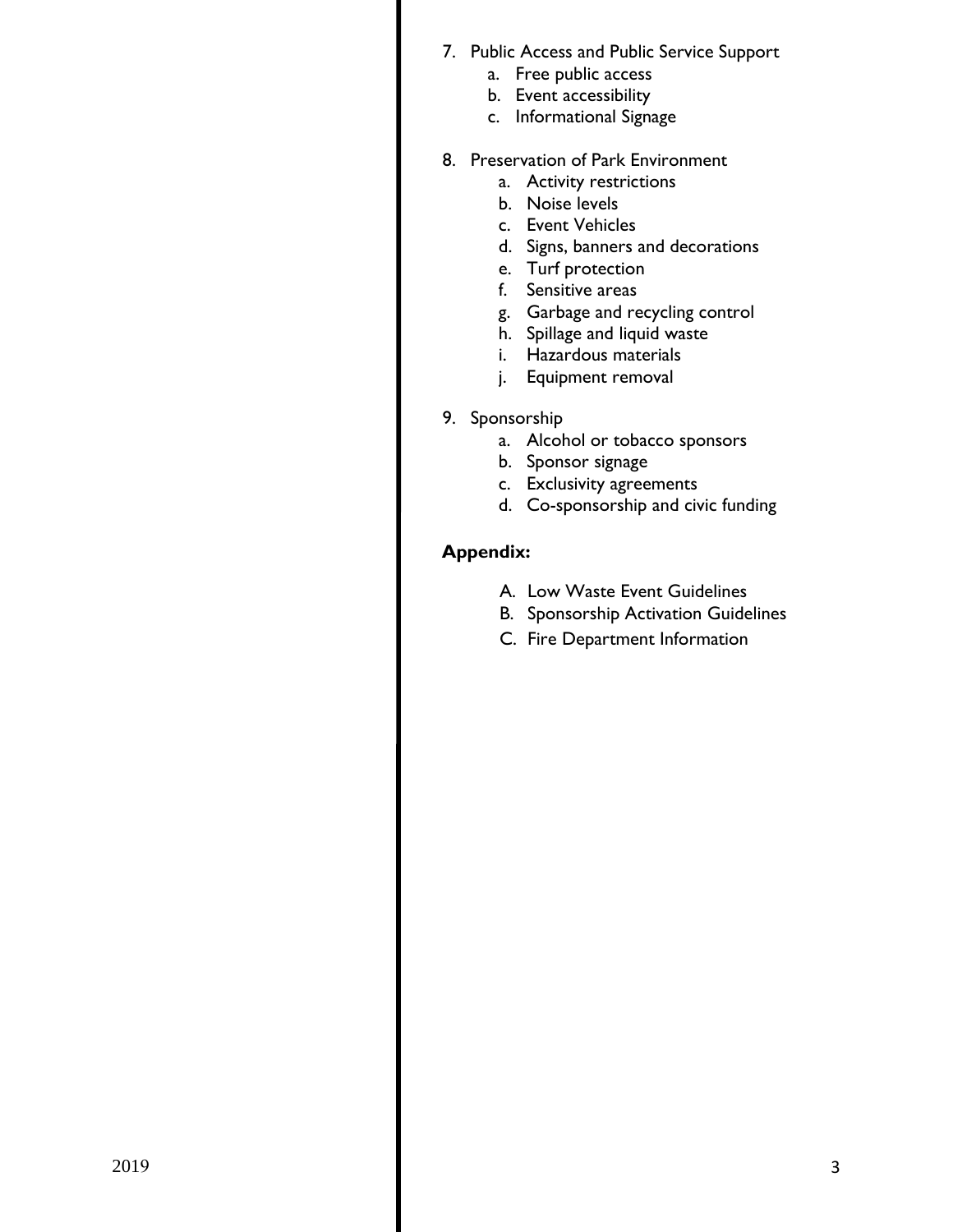- 6. Public Access and Public Service Support
	- a. Free public access
	- b. Event accessibility
	- c. Informational Signage
- 7. Preservation of Park Environment
	- a. Activity restrictions
	- b. Noise levels
	- c. Event Vehicles
	- d. Signs, banners and decorations
	- e. Turf protection
	- f. Sensitive areas
	- g. Garbage and recycling control
	- h. Spillage and liquid waste
	- i. Hazardous materials
	- j. Equipment removal
- 8. Sponsorship
	- a. Alcohol or tobacco sponsors
	- b. Sponsor signage
	- c. Exclusivity agreements
	- d. Co-sponsorship and civic funding

## **Appendix:**

- A. Low Waste Event Guidelines
- B. Sponsorship Activation Guidelines
- C. Local Agencies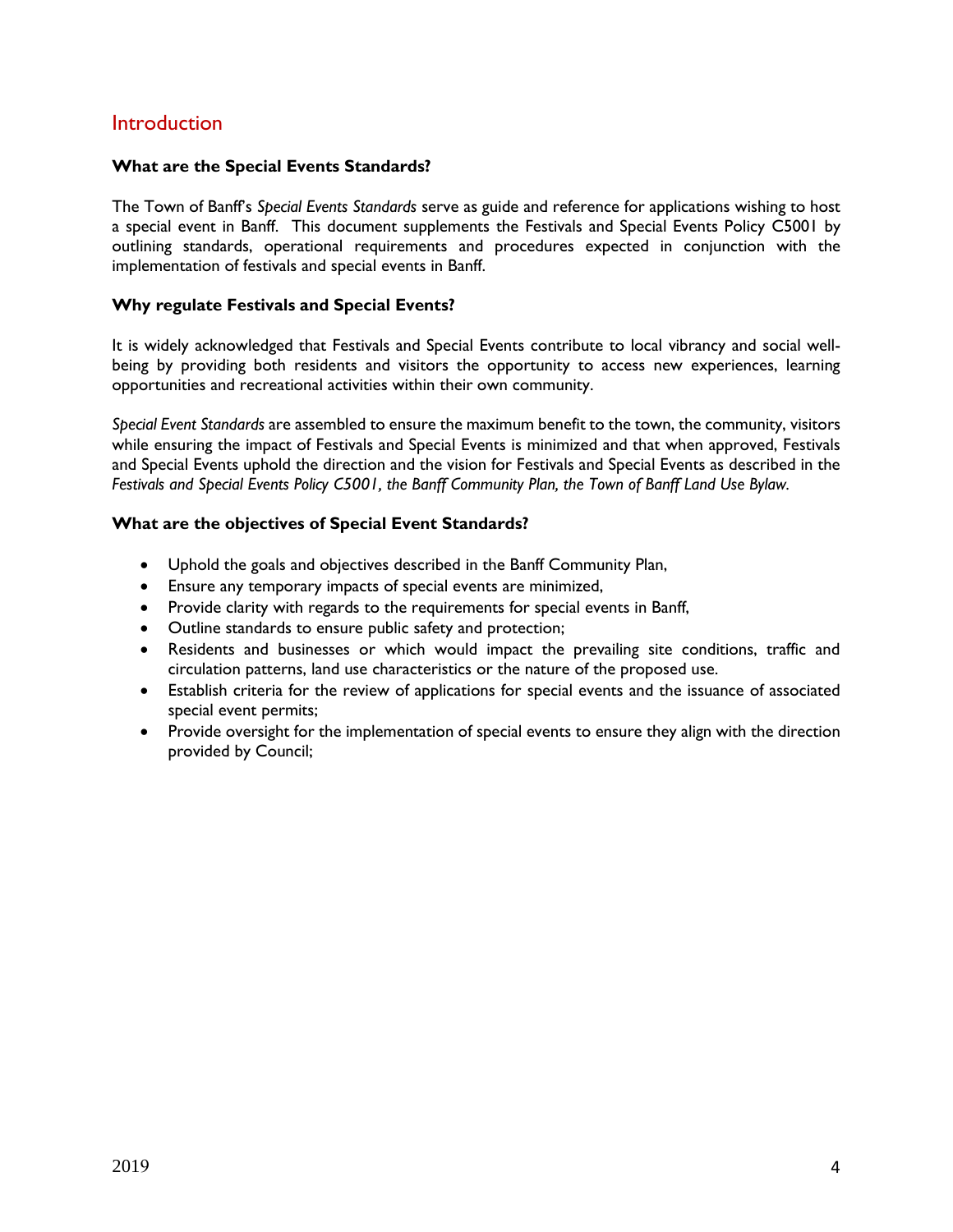## **Introduction**

#### **What are the Special Events Standards?**

The Town of Banff's *Special Events Standards* serve as guide and reference for applications wishing to host a special event in Banff. This document supplements the Festivals and Special Events Policy C5001 by outlining standards, operational requirements and procedures expected in conjunction with the implementation of festivals and special events in Banff.

#### **Why regulate Festivals and Special Events?**

It is widely acknowledged that Festivals and Special Events contribute to local vibrancy and social wellbeing by providing both residents and visitors the opportunity to access new experiences, learning opportunities and recreational activities within their own community.

*Special Event Standards* are assembled to ensure the maximum benefit to the town, the community, visitors while ensuring the impact of Festivals and Special Events is minimized and that when approved, Festivals and Special Events uphold the direction and the vision for Festivals and Special Events as described in the *Festivals and Special Events Policy C5001, the Banff Community Plan, the Town of Banff Land Use Bylaw.* 

#### **What are the objectives of Special Event Standards?**

- Uphold the goals and objectives described in the Banff Community Plan,
- Ensure any temporary impacts of special events are minimized,
- Provide clarity with regards to the requirements for special events in Banff,
- Outline standards to ensure public safety and protection;
- Residents and businesses or which would impact the prevailing site conditions, traffic and circulation patterns, land use characteristics or the nature of the proposed use.
- Establish criteria for the review of applications for special events and the issuance of associated special event permits;
- Provide oversight for the implementation of special events to ensure they align with the direction provided by Council;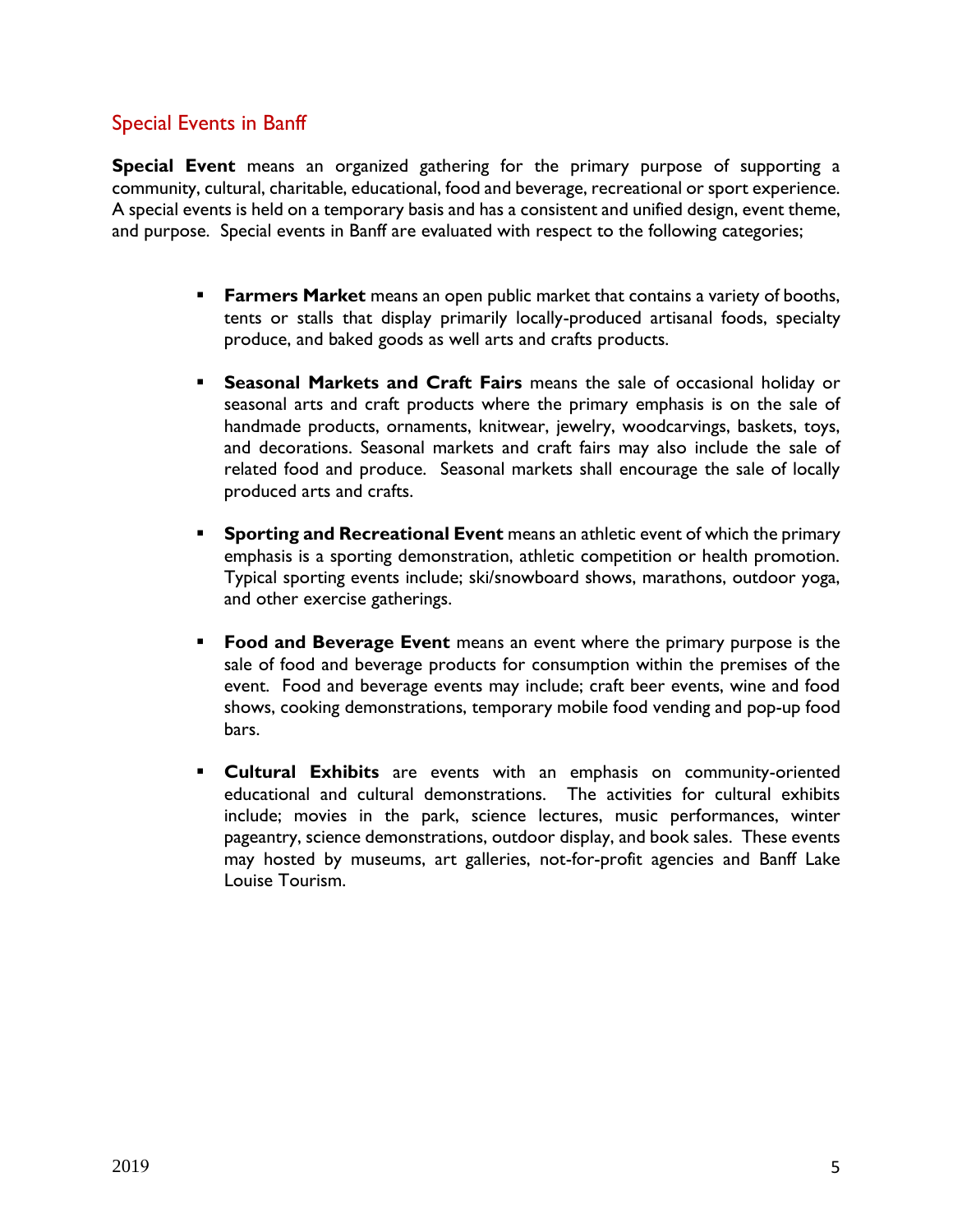# Special Events in Banff

**Special Event** means an organized gathering for the primary purpose of supporting a community, cultural, charitable, educational, food and beverage, recreational or sport experience. A special events is held on a temporary basis and has a consistent and unified design, event theme, and purpose. Special events in Banff are evaluated with respect to the following categories;

- **Farmers Market** means an open public market that contains a variety of booths, tents or stalls that display primarily locally-produced artisanal foods, specialty produce, and baked goods as well arts and crafts products.
- **Seasonal Markets and Craft Fairs** means the sale of occasional holiday or seasonal arts and craft products where the primary emphasis is on the sale of handmade products, ornaments, knitwear, jewelry, woodcarvings, baskets, toys, and decorations. Seasonal markets and craft fairs may also include the sale of related food and produce. Seasonal markets shall encourage the sale of locally produced arts and crafts.
- **Sporting and Recreational Event** means an athletic event of which the primary emphasis is a sporting demonstration, athletic competition or health promotion. Typical sporting events include; ski/snowboard shows, marathons, outdoor yoga, and other exercise gatherings.
- **Food and Beverage Event** means an event where the primary purpose is the sale of food and beverage products for consumption within the premises of the event. Food and beverage events may include; craft beer events, wine and food shows, cooking demonstrations, temporary mobile food vending and pop-up food bars.
- **Cultural Exhibits** are events with an emphasis on community-oriented educational and cultural demonstrations. The activities for cultural exhibits include; movies in the park, science lectures, music performances, winter pageantry, science demonstrations, outdoor display, and book sales. These events may hosted by museums, art galleries, not-for-profit agencies and Banff Lake Louise Tourism.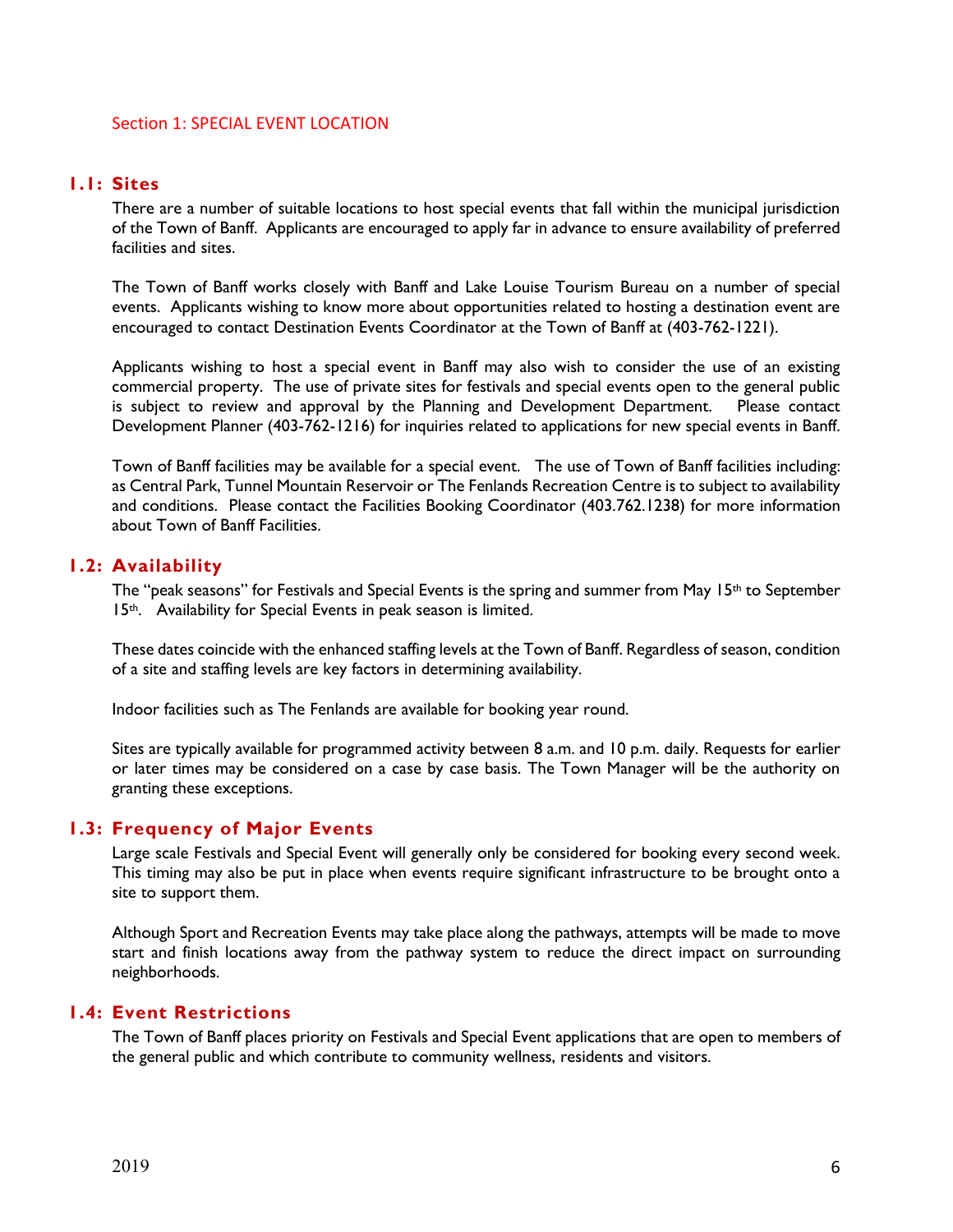#### Section 1: SPECIAL EVENT LOCATION

#### **1.1: Sites**

There are a number of suitable locations to host special events that fall within the municipal jurisdiction of the Town of Banff. Applicants are encouraged to apply far in advance to ensure availability of preferred facilities and sites.

The Town of Banff works closely with Banff and Lake Louise Tourism Bureau on a number of special events. Applicants wishing to know more about opportunities related to hosting a destination event are encouraged to contact Destination Events Coordinator at the Town of Banff at (403-762-1221).

Applicants wishing to host a special event in Banff may also wish to consider the use of an existing commercial property. The use of private sites for festivals and special events open to the general public is subject to review and approval by the Planning and Development Department. Please contact Development Planner (403-762-1216) for inquiries related to applications for new special events in Banff.

Town of Banff facilities may be available for a special event. The use of Town of Banff facilities including: as Central Park, Tunnel Mountain Reservoir or The Fenlands Recreation Centre is to subject to availability and conditions. Please contact the Facilities Booking Coordinator (403.762.1238) for more information about Town of Banff Facilities.

#### **1.2: Availability**

The "peak seasons" for Festivals and Special Events is the spring and summer from May 15th to September 15<sup>th</sup>. Availability for Special Events in peak season is limited.

These dates coincide with the enhanced staffing levels at the Town of Banff. Regardless of season, condition of a site and staffing levels are key factors in determining availability.

Indoor facilities such as The Fenlands are available for booking year round.

Sites are typically available for programmed activity between 8 a.m. and 10 p.m. daily. Requests for earlier or later times may be considered on a case by case basis. The Town Manager will be the authority on granting these exceptions.

#### **1.3: Frequency of Major Events**

Large scale Festivals and Special Event will generally only be considered for booking every second week. This timing may also be put in place when events require significant infrastructure to be brought onto a site to support them.

Although Sport and Recreation Events may take place along the pathways, attempts will be made to move start and finish locations away from the pathway system to reduce the direct impact on surrounding neighborhoods.

#### **1.4: Event Restrictions**

The Town of Banff places priority on Festivals and Special Event applications that are open to members of the general public and which contribute to community wellness, residents and visitors.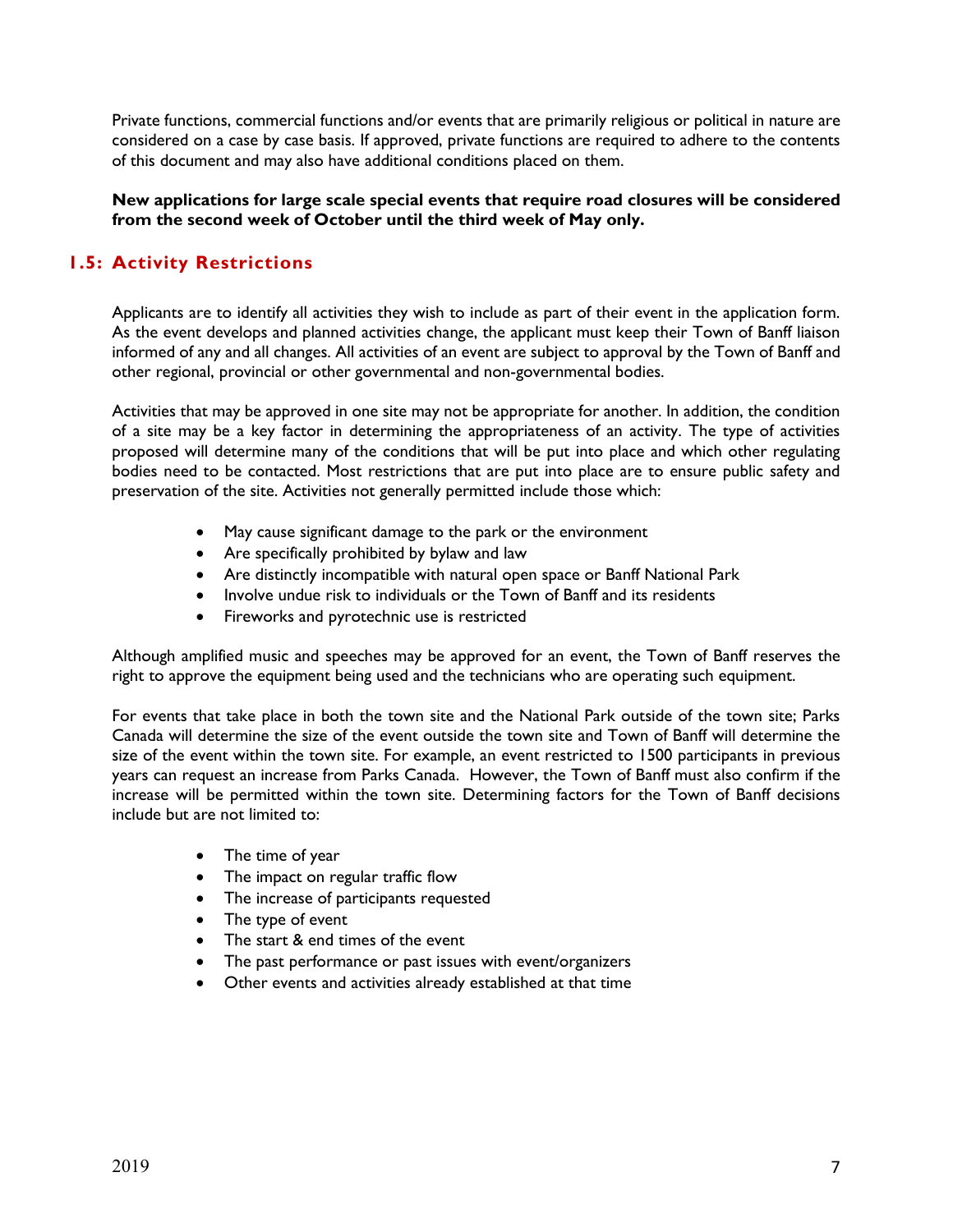Private functions, commercial functions and/or events that are primarily religious or political in nature are considered on a case by case basis. If approved, private functions are required to adhere to the contents of this document and may also have additional conditions placed on them.

**New applications for large scale special events that require road closures will be considered from the second week of October until the third week of May only.** 

## **1.5: Activity Restrictions**

Applicants are to identify all activities they wish to include as part of their event in the application form. As the event develops and planned activities change, the applicant must keep their Town of Banff liaison informed of any and all changes. All activities of an event are subject to approval by the Town of Banff and other regional, provincial or other governmental and non-governmental bodies.

Activities that may be approved in one site may not be appropriate for another. In addition, the condition of a site may be a key factor in determining the appropriateness of an activity. The type of activities proposed will determine many of the conditions that will be put into place and which other regulating bodies need to be contacted. Most restrictions that are put into place are to ensure public safety and preservation of the site. Activities not generally permitted include those which:

- May cause significant damage to the park or the environment
- Are specifically prohibited by bylaw and law
- Are distinctly incompatible with natural open space or Banff National Park
- Involve undue risk to individuals or the Town of Banff and its residents
- **•** Fireworks and pyrotechnic use is restricted

Although amplified music and speeches may be approved for an event, the Town of Banff reserves the right to approve the equipment being used and the technicians who are operating such equipment.

For events that take place in both the town site and the National Park outside of the town site; Parks Canada will determine the size of the event outside the town site and Town of Banff will determine the size of the event within the town site. For example, an event restricted to 1500 participants in previous years can request an increase from Parks Canada. However, the Town of Banff must also confirm if the increase will be permitted within the town site. Determining factors for the Town of Banff decisions include but are not limited to:

- The time of year
- The impact on regular traffic flow
- The increase of participants requested
- The type of event
- The start & end times of the event
- The past performance or past issues with event/organizers
- Other events and activities already established at that time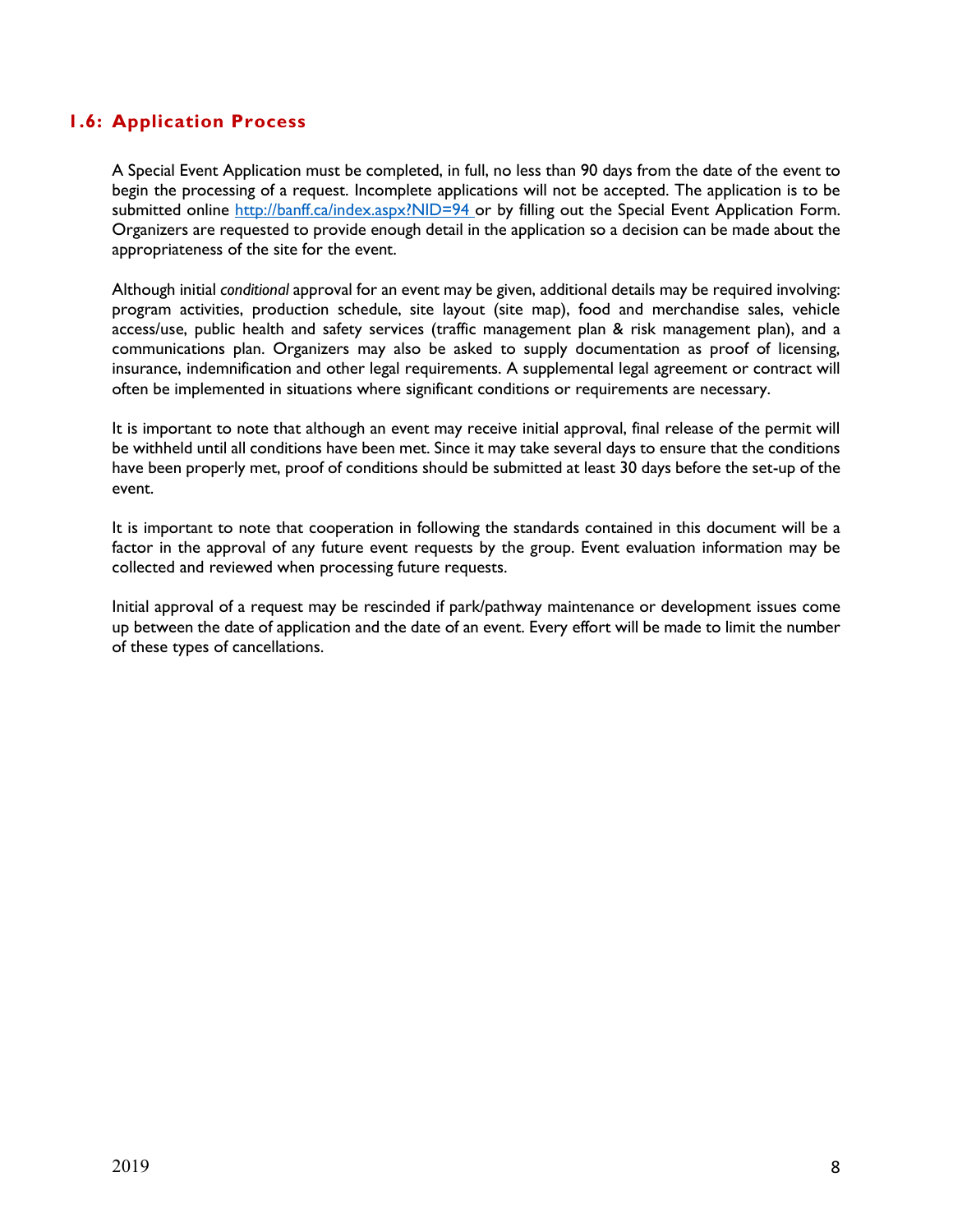## **1.6: Application Process**

A Special Event Application must be completed, in full, no less than 90 days from the date of the event to begin the processing of a request. Incomplete applications will not be accepted. The application is to be submitted online<http://banff.ca/index.aspx?NID=94> or by filling out the Special Event Application Form. Organizers are requested to provide enough detail in the application so a decision can be made about the appropriateness of the site for the event.

Although initial *conditional* approval for an event may be given, additional details may be required involving: program activities, production schedule, site layout (site map), food and merchandise sales, vehicle access/use, public health and safety services (traffic management plan & risk management plan), and a communications plan. Organizers may also be asked to supply documentation as proof of licensing, insurance, indemnification and other legal requirements. A supplemental legal agreement or contract will often be implemented in situations where significant conditions or requirements are necessary.

It is important to note that although an event may receive initial approval, final release of the permit will be withheld until all conditions have been met. Since it may take several days to ensure that the conditions have been properly met, proof of conditions should be submitted at least 30 days before the set-up of the event.

It is important to note that cooperation in following the standards contained in this document will be a factor in the approval of any future event requests by the group. Event evaluation information may be collected and reviewed when processing future requests.

Initial approval of a request may be rescinded if park/pathway maintenance or development issues come up between the date of application and the date of an event. Every effort will be made to limit the number of these types of cancellations.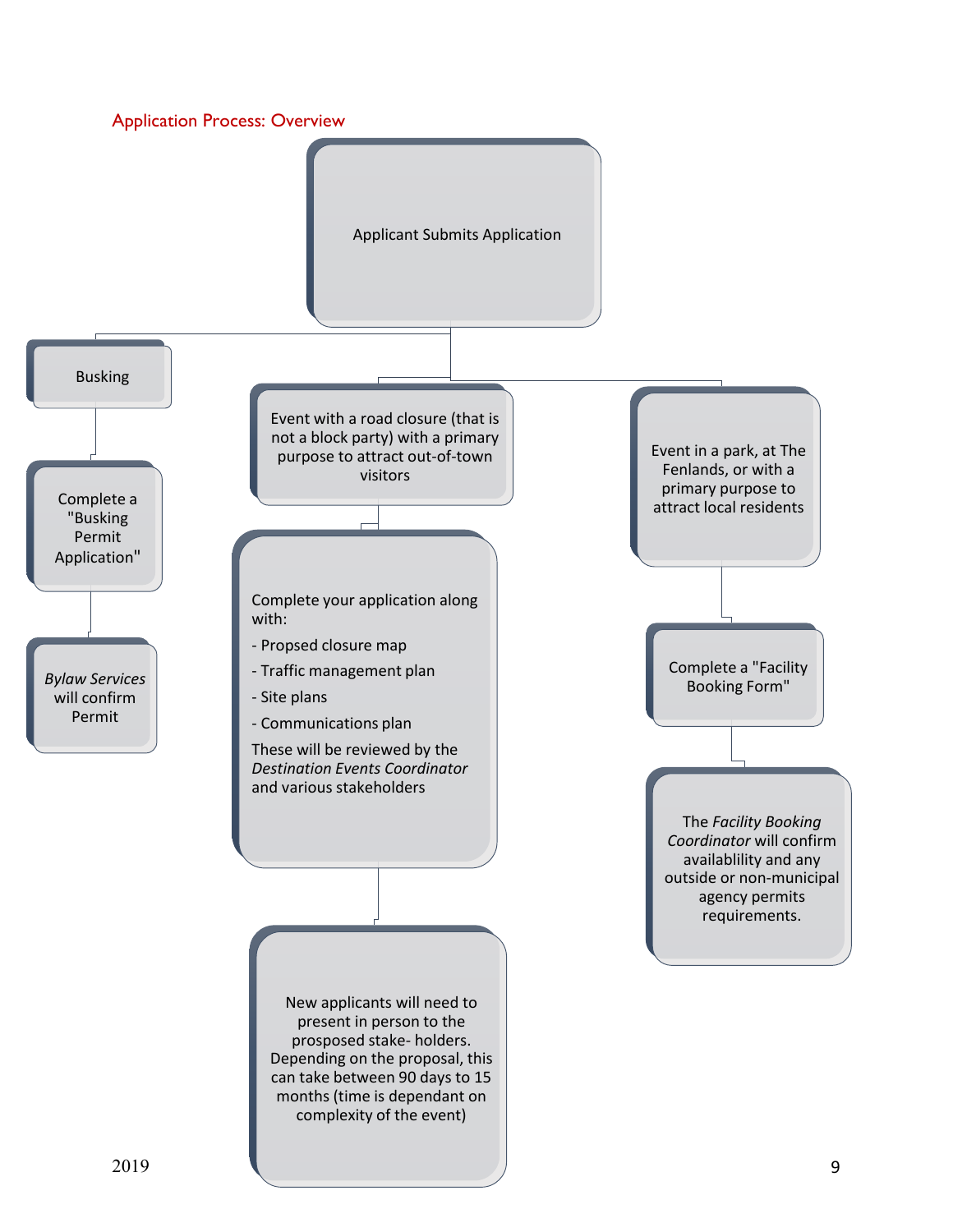

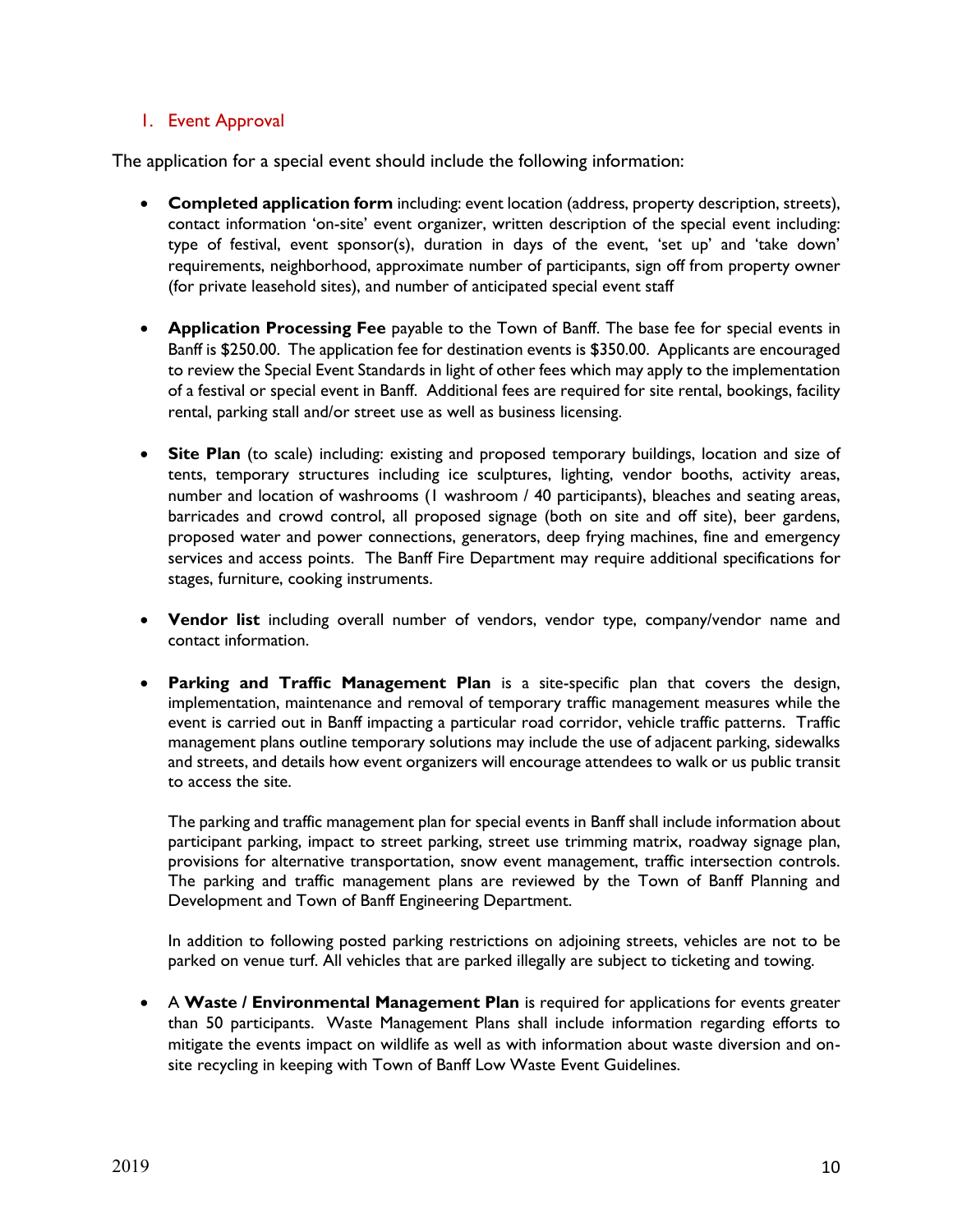## 1. Event Approval

The application for a special event should include the following information:

- **Completed application form** including: event location (address, property description, streets), contact information 'on-site' event organizer, written description of the special event including: type of festival, event sponsor(s), duration in days of the event, 'set up' and 'take down' requirements, neighborhood, approximate number of participants, sign off from property owner (for private leasehold sites), and number of anticipated special event staff
- **Application Processing Fee** payable to the Town of Banff. The base fee for special events in Banff is \$250.00. The application fee for destination events is \$350.00. Applicants are encouraged to review the Special Event Standards in light of other fees which may apply to the implementation of a festival or special event in Banff. Additional fees are required for site rental, bookings, facility rental, parking stall and/or street use as well as business licensing.
- **Site Plan** (to scale) including: existing and proposed temporary buildings, location and size of tents, temporary structures including ice sculptures, lighting, vendor booths, activity areas, number and location of washrooms (1 washroom / 40 participants), bleaches and seating areas, barricades and crowd control, all proposed signage (both on site and off site), beer gardens, proposed water and power connections, generators, deep frying machines, fine and emergency services and access points. The Banff Fire Department may require additional specifications for stages, furniture, cooking instruments.
- **Vendor list** including overall number of vendors, vendor type, company/vendor name and contact information.
- **Parking and Traffic Management Plan** is a site-specific plan that covers the design, implementation, maintenance and removal of temporary traffic management measures while the event is carried out in Banff impacting a particular road corridor, vehicle traffic patterns. Traffic management plans outline temporary solutions may include the use of adjacent parking, sidewalks and streets, and details how event organizers will encourage attendees to walk or us public transit to access the site.

The parking and traffic management plan for special events in Banff shall include information about participant parking, impact to street parking, street use trimming matrix, roadway signage plan, provisions for alternative transportation, snow event management, traffic intersection controls. The parking and traffic management plans are reviewed by the Town of Banff Planning and Development and Town of Banff Engineering Department.

In addition to following posted parking restrictions on adjoining streets, vehicles are not to be parked on venue turf. All vehicles that are parked illegally are subject to ticketing and towing.

 A **Waste / Environmental Management Plan** is required for applications for events greater than 50 participants. Waste Management Plans shall include information regarding efforts to mitigate the events impact on wildlife as well as with information about waste diversion and onsite recycling in keeping with Town of Banff Low Waste Event Guidelines.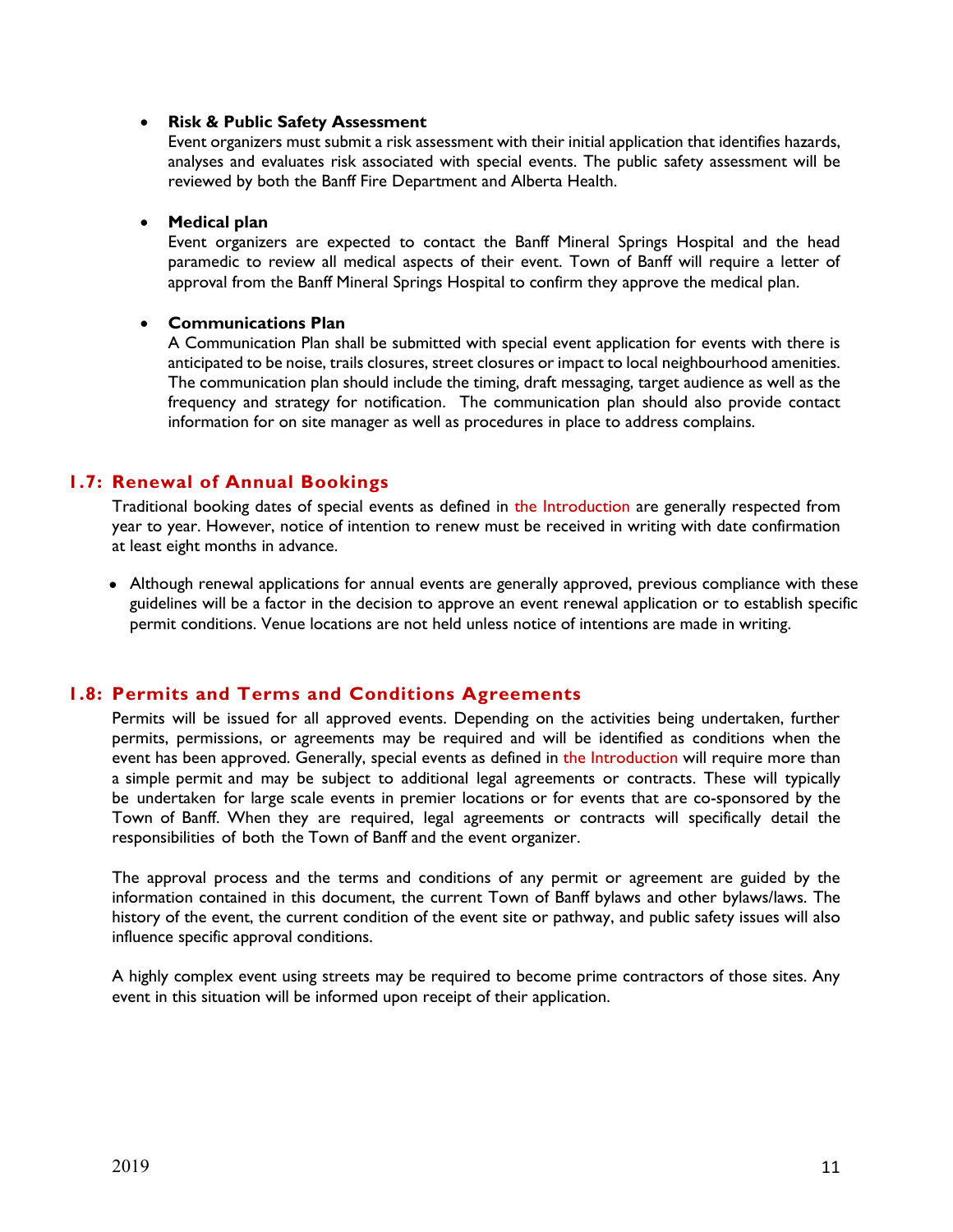#### **Risk & Public Safety Assessment**

Event organizers must submit a risk assessment with their initial application that identifies hazards, analyses and evaluates risk associated with special events. The public safety assessment will be reviewed by both the Banff Fire Department and Alberta Health.

#### **Medical plan**

Event organizers are expected to contact the Banff Mineral Springs Hospital and the head paramedic to review all medical aspects of their event. Town of Banff will require a letter of approval from the Banff Mineral Springs Hospital to confirm they approve the medical plan.

#### **Communications Plan**

A Communication Plan shall be submitted with special event application for events with there is anticipated to be noise, trails closures, street closures or impact to local neighbourhood amenities. The communication plan should include the timing, draft messaging, target audience as well as the frequency and strategy for notification. The communication plan should also provide contact information for on site manager as well as procedures in place to address complains.

## **1.7: Renewal of Annual Bookings**

Traditional booking dates of special events as defined in the Introduction are generally respected from year to year. However, notice of intention to renew must be received in writing with date confirmation at least eight months in advance.

• Although renewal applications for annual events are generally approved, previous compliance with these guidelines will be a factor in the decision to approve an event renewal application or to establish specific permit conditions. Venue locations are not held unless notice of intentions are made in writing.

## **1.8: Permits and Terms and Conditions Agreements**

Permits will be issued for all approved events. Depending on the activities being undertaken, further permits, permissions, or agreements may be required and will be identified as conditions when the event has been approved. Generally, special events as defined in the Introduction will require more than a simple permit and may be subject to additional legal agreements or contracts. These will typically be undertaken for large scale events in premier locations or for events that are co-sponsored by the Town of Banff. When they are required, legal agreements or contracts will specifically detail the responsibilities of both the Town of Banff and the event organizer.

The approval process and the terms and conditions of any permit or agreement are guided by the information contained in this document, the current Town of Banff bylaws and other bylaws/laws. The history of the event, the current condition of the event site or pathway, and public safety issues will also influence specific approval conditions.

A highly complex event using streets may be required to become prime contractors of those sites. Any event in this situation will be informed upon receipt of their application.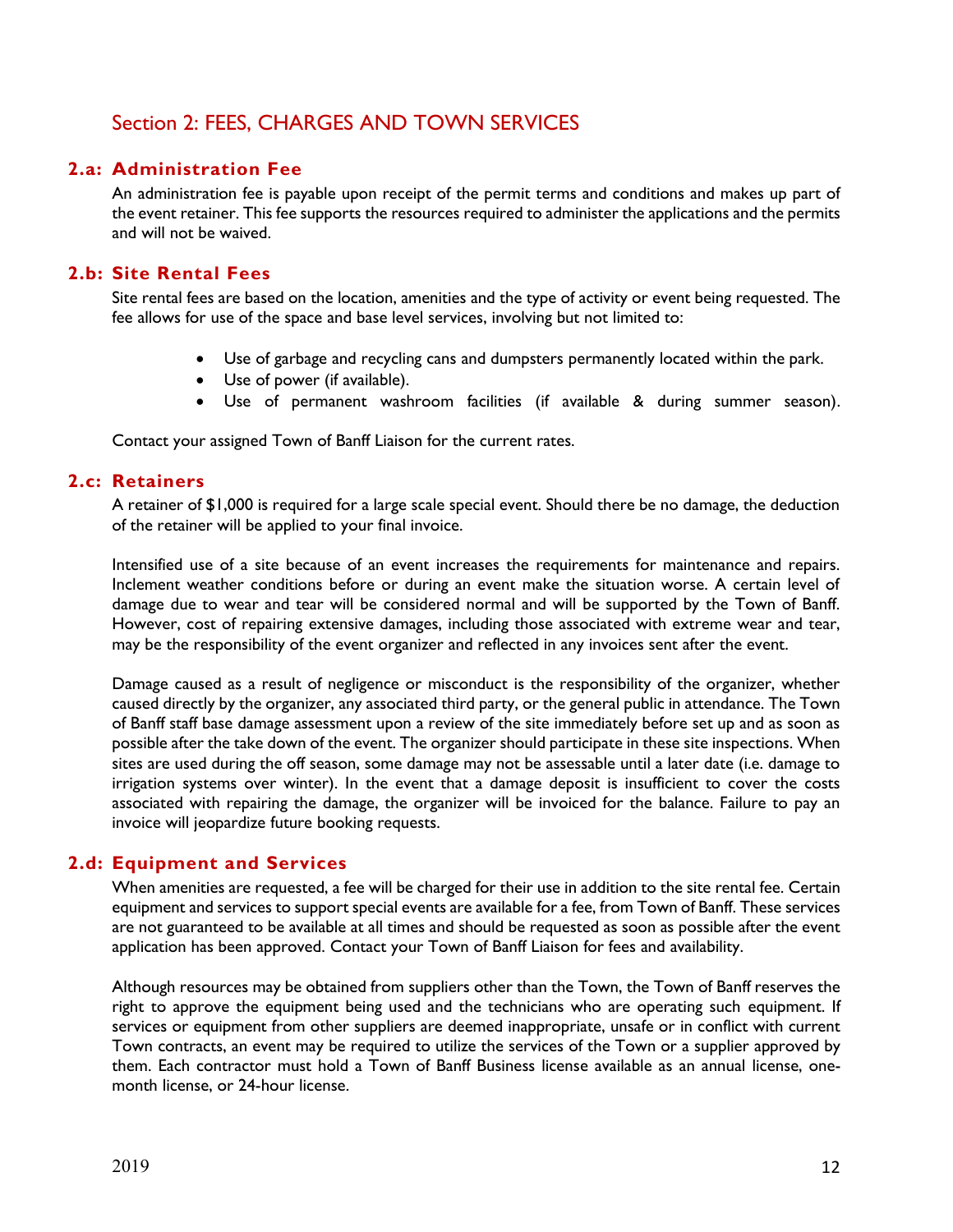# Section 2: FEES, CHARGES AND TOWN SERVICES

## **2.a: Administration Fee**

An administration fee is payable upon receipt of the permit terms and conditions and makes up part of the event retainer. This fee supports the resources required to administer the applications and the permits and will not be waived.

## **2.b: Site Rental Fees**

Site rental fees are based on the location, amenities and the type of activity or event being requested. The fee allows for use of the space and base level services, involving but not limited to:

- Use of garbage and recycling cans and dumpsters permanently located within the park.
- Use of power (if available).
- Use of permanent washroom facilities (if available & during summer season).

Contact your assigned Town of Banff Liaison for the current rates.

#### **2.c: Retainers**

A retainer of \$1,000 is required for a large scale special event. Should there be no damage, the deduction of the retainer will be applied to your final invoice.

Intensified use of a site because of an event increases the requirements for maintenance and repairs. Inclement weather conditions before or during an event make the situation worse. A certain level of damage due to wear and tear will be considered normal and will be supported by the Town of Banff. However, cost of repairing extensive damages, including those associated with extreme wear and tear, may be the responsibility of the event organizer and reflected in any invoices sent after the event.

Damage caused as a result of negligence or misconduct is the responsibility of the organizer, whether caused directly by the organizer, any associated third party, or the general public in attendance. The Town of Banff staff base damage assessment upon a review of the site immediately before set up and as soon as possible after the take down of the event. The organizer should participate in these site inspections. When sites are used during the off season, some damage may not be assessable until a later date (i.e. damage to irrigation systems over winter). In the event that a damage deposit is insufficient to cover the costs associated with repairing the damage, the organizer will be invoiced for the balance. Failure to pay an invoice will jeopardize future booking requests.

## **2.d: Equipment and Services**

When amenities are requested, a fee will be charged for their use in addition to the site rental fee. Certain equipment and services to support special events are available for a fee, from Town of Banff. These services are not guaranteed to be available at all times and should be requested as soon as possible after the event application has been approved. Contact your Town of Banff Liaison for fees and availability.

Although resources may be obtained from suppliers other than the Town, the Town of Banff reserves the right to approve the equipment being used and the technicians who are operating such equipment. If services or equipment from other suppliers are deemed inappropriate, unsafe or in conflict with current Town contracts, an event may be required to utilize the services of the Town or a supplier approved by them. Each contractor must hold a Town of Banff Business license available as an annual license, onemonth license, or 24-hour license.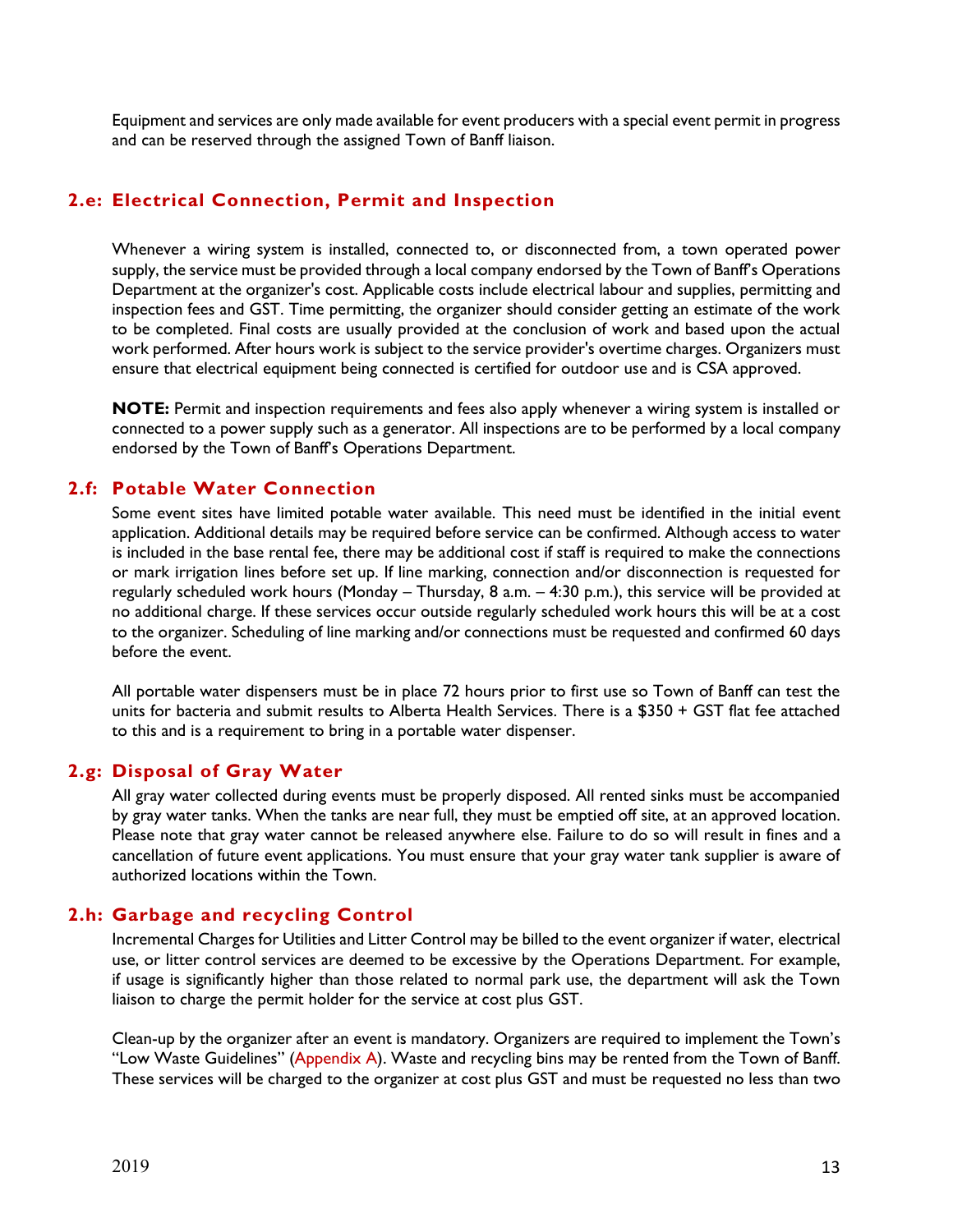Equipment and services are only made available for event producers with a special event permit in progress and can be reserved through the assigned Town of Banff liaison.

## **2.e: Electrical Connection, Permit and Inspection**

Whenever a wiring system is installed, connected to, or disconnected from, a town operated power supply, the service must be provided through a local company endorsed by the Town of Banff's Operations Department at the organizer's cost. Applicable costs include electrical labour and supplies, permitting and inspection fees and GST. Time permitting, the organizer should consider getting an estimate of the work to be completed. Final costs are usually provided at the conclusion of work and based upon the actual work performed. After hours work is subject to the service provider's overtime charges. Organizers must ensure that electrical equipment being connected is certified for outdoor use and is CSA approved.

**NOTE:** Permit and inspection requirements and fees also apply whenever a wiring system is installed or connected to a power supply such as a generator. All inspections are to be performed by a local company endorsed by the Town of Banff's Operations Department.

## **2.f: Potable Water Connection**

Some event sites have limited potable water available. This need must be identified in the initial event application. Additional details may be required before service can be confirmed. Although access to water is included in the base rental fee, there may be additional cost if staff is required to make the connections or mark irrigation lines before set up. If line marking, connection and/or disconnection is requested for regularly scheduled work hours (Monday – Thursday, 8 a.m. – 4:30 p.m.), this service will be provided at no additional charge. If these services occur outside regularly scheduled work hours this will be at a cost to the organizer. Scheduling of line marking and/or connections must be requested and confirmed 60 days before the event.

All portable water dispensers must be in place 72 hours prior to first use so Town of Banff can test the units for bacteria and submit results to Alberta Health Services. There is a \$350 + GST flat fee attached to this and is a requirement to bring in a portable water dispenser.

## **2.g: Disposal of Gray Water**

All gray water collected during events must be properly disposed. All rented sinks must be accompanied by gray water tanks. When the tanks are near full, they must be emptied off site, at an approved location. Please note that gray water cannot be released anywhere else. Failure to do so will result in fines and a cancellation of future event applications. You must ensure that your gray water tank supplier is aware of authorized locations within the Town.

## **2.h: Garbage and recycling Control**

Incremental Charges for Utilities and Litter Control may be billed to the event organizer if water, electrical use, or litter control services are deemed to be excessive by the Operations Department. For example, if usage is significantly higher than those related to normal park use, the department will ask the Town liaison to charge the permit holder for the service at cost plus GST.

Clean-up by the organizer after an event is mandatory. Organizers are required to implement the Town's "Low Waste Guidelines" (Appendix A). Waste and recycling bins may be rented from the Town of Banff. These services will be charged to the organizer at cost plus GST and must be requested no less than two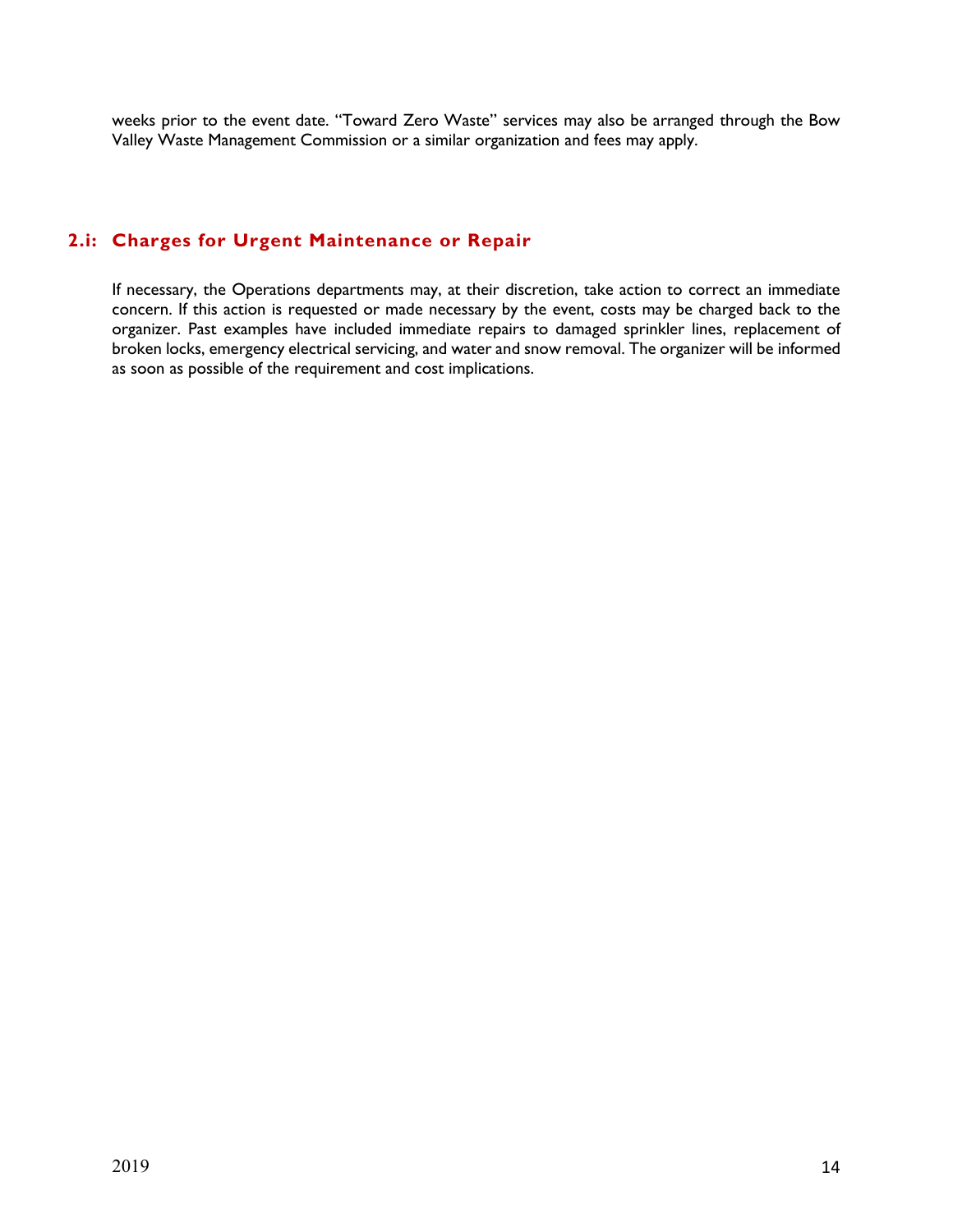weeks prior to the event date. "Toward Zero Waste" services may also be arranged through the Bow Valley Waste Management Commission or a similar organization and fees may apply.

## **2.i: Charges for Urgent Maintenance or Repair**

If necessary, the Operations departments may, at their discretion, take action to correct an immediate concern. If this action is requested or made necessary by the event, costs may be charged back to the organizer. Past examples have included immediate repairs to damaged sprinkler lines, replacement of broken locks, emergency electrical servicing, and water and snow removal. The organizer will be informed as soon as possible of the requirement and cost implications.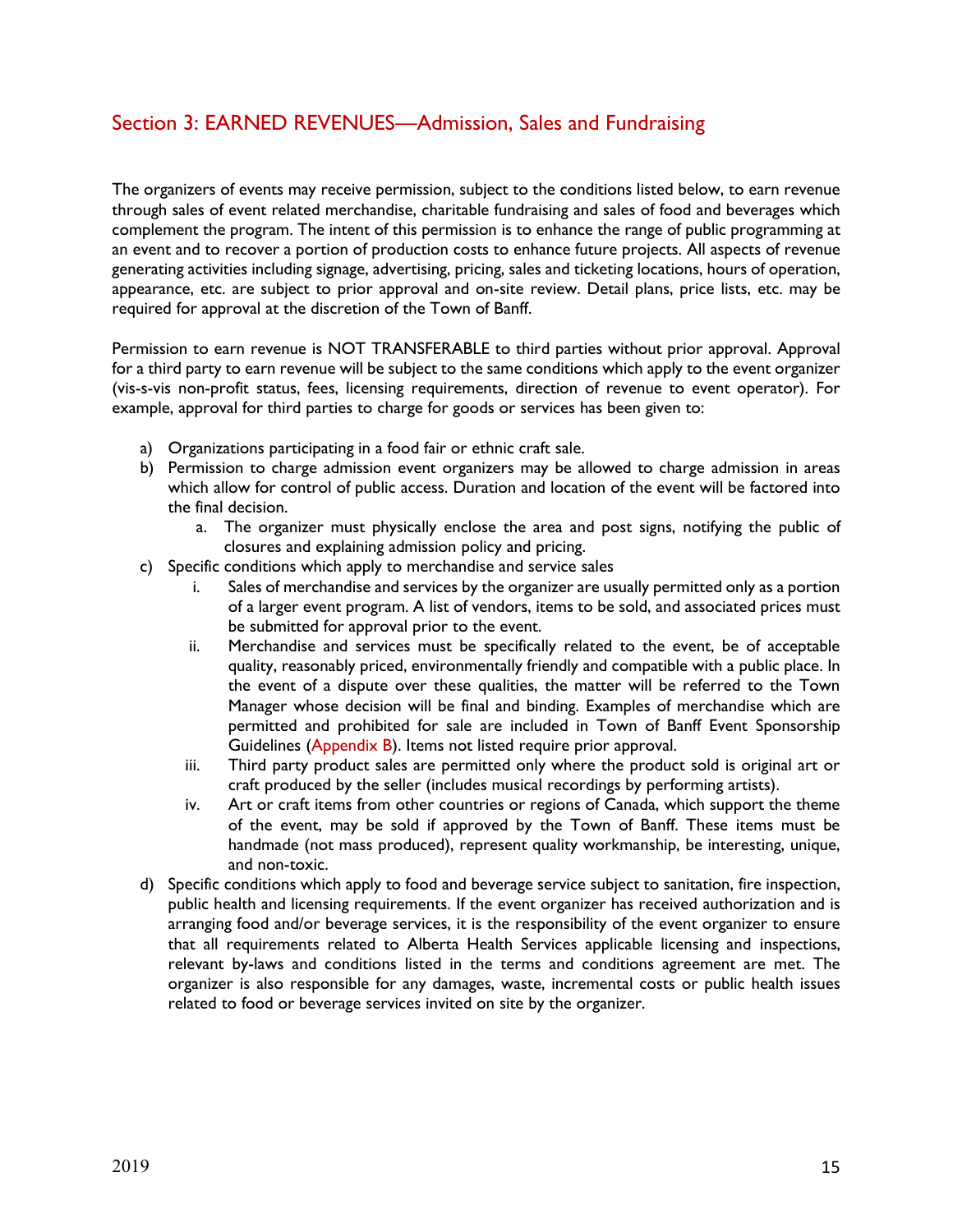# Section 3: EARNED REVENUES—Admission, Sales and Fundraising

The organizers of events may receive permission, subject to the conditions listed below, to earn revenue through sales of event related merchandise, charitable fundraising and sales of food and beverages which complement the program. The intent of this permission is to enhance the range of public programming at an event and to recover a portion of production costs to enhance future projects. All aspects of revenue generating activities including signage, advertising, pricing, sales and ticketing locations, hours of operation, appearance, etc. are subject to prior approval and on-site review. Detail plans, price lists, etc. may be required for approval at the discretion of the Town of Banff.

Permission to earn revenue is NOT TRANSFERABLE to third parties without prior approval. Approval for a third party to earn revenue will be subject to the same conditions which apply to the event organizer (vis-s-vis non-profit status, fees, licensing requirements, direction of revenue to event operator). For example, approval for third parties to charge for goods or services has been given to:

- a) Organizations participating in a food fair or ethnic craft sale.
- b) Permission to charge admission event organizers may be allowed to charge admission in areas which allow for control of public access. Duration and location of the event will be factored into the final decision.
	- a. The organizer must physically enclose the area and post signs, notifying the public of closures and explaining admission policy and pricing.
- c) Specific conditions which apply to merchandise and service sales
	- i. Sales of merchandise and services by the organizer are usually permitted only as a portion of a larger event program. A list of vendors, items to be sold, and associated prices must be submitted for approval prior to the event.
	- ii. Merchandise and services must be specifically related to the event, be of acceptable quality, reasonably priced, environmentally friendly and compatible with a public place. In the event of a dispute over these qualities, the matter will be referred to the Town Manager whose decision will be final and binding. Examples of merchandise which are permitted and prohibited for sale are included in Town of Banff Event Sponsorship Guidelines (Appendix B). Items not listed require prior approval.
	- iii. Third party product sales are permitted only where the product sold is original art or craft produced by the seller (includes musical recordings by performing artists).
	- iv. Art or craft items from other countries or regions of Canada, which support the theme of the event, may be sold if approved by the Town of Banff. These items must be handmade (not mass produced), represent quality workmanship, be interesting, unique, and non-toxic.
- d) Specific conditions which apply to food and beverage service subject to sanitation, fire inspection, public health and licensing requirements. If the event organizer has received authorization and is arranging food and/or beverage services, it is the responsibility of the event organizer to ensure that all requirements related to Alberta Health Services applicable licensing and inspections, relevant by-laws and conditions listed in the terms and conditions agreement are met. The organizer is also responsible for any damages, waste, incremental costs or public health issues related to food or beverage services invited on site by the organizer.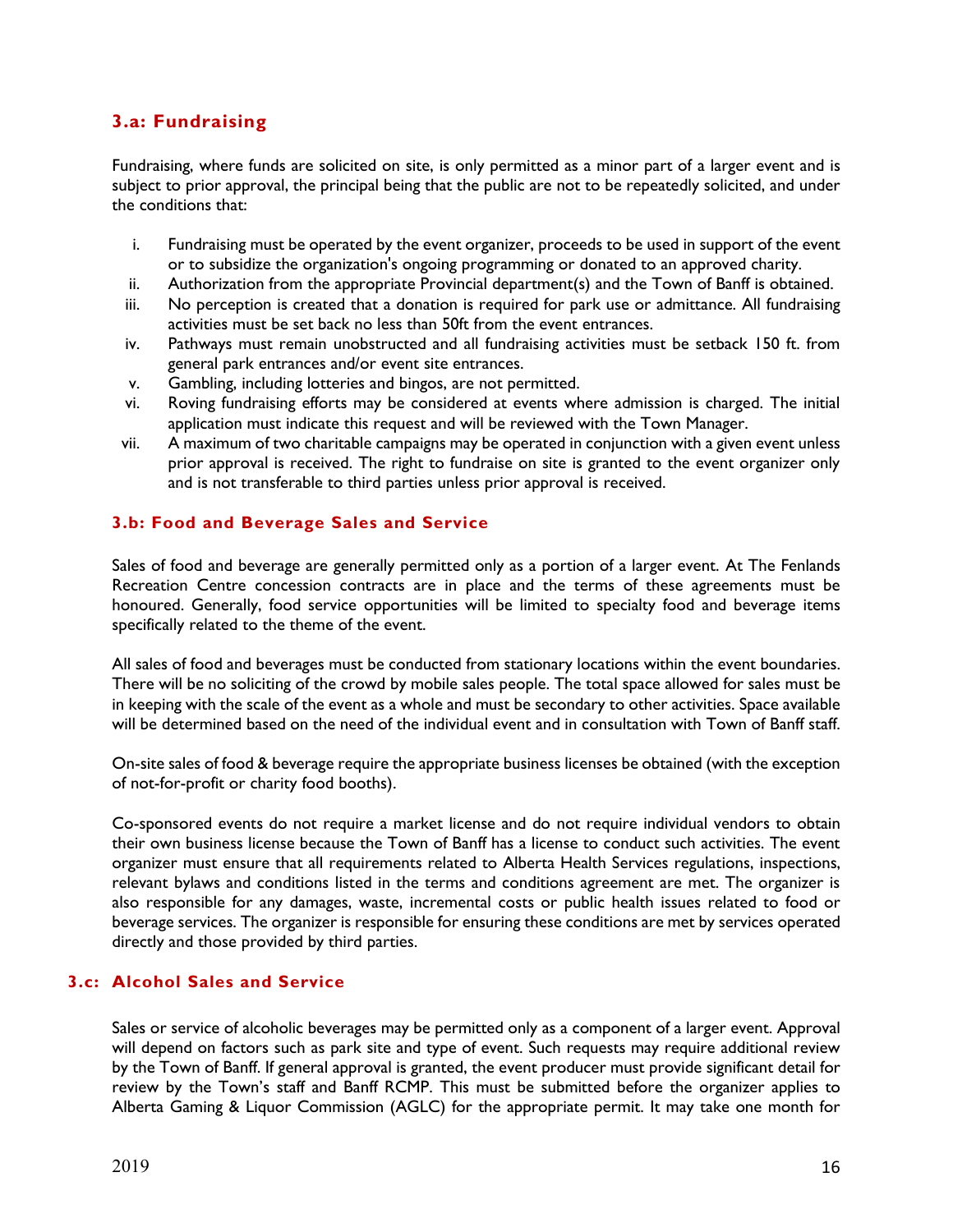## **3.a: Fundraising**

Fundraising, where funds are solicited on site, is only permitted as a minor part of a larger event and is subject to prior approval, the principal being that the public are not to be repeatedly solicited, and under the conditions that:

- i. Fundraising must be operated by the event organizer, proceeds to be used in support of the event or to subsidize the organization's ongoing programming or donated to an approved charity.
- ii. Authorization from the appropriate Provincial department(s) and the Town of Banff is obtained.
- iii. No perception is created that a donation is required for park use or admittance. All fundraising activities must be set back no less than 50ft from the event entrances.
- iv. Pathways must remain unobstructed and all fundraising activities must be setback 150 ft. from general park entrances and/or event site entrances.
- v. Gambling, including lotteries and bingos, are not permitted.
- vi. Roving fundraising efforts may be considered at events where admission is charged. The initial application must indicate this request and will be reviewed with the Town Manager.
- vii. A maximum of two charitable campaigns may be operated in conjunction with a given event unless prior approval is received. The right to fundraise on site is granted to the event organizer only and is not transferable to third parties unless prior approval is received.

## **3.b: Food and Beverage Sales and Service**

Sales of food and beverage are generally permitted only as a portion of a larger event. At The Fenlands Recreation Centre concession contracts are in place and the terms of these agreements must be honoured. Generally, food service opportunities will be limited to specialty food and beverage items specifically related to the theme of the event.

All sales of food and beverages must be conducted from stationary locations within the event boundaries. There will be no soliciting of the crowd by mobile sales people. The total space allowed for sales must be in keeping with the scale of the event as a whole and must be secondary to other activities. Space available will be determined based on the need of the individual event and in consultation with Town of Banff staff.

On-site sales of food & beverage require the appropriate business licenses be obtained (with the exception of not-for-profit or charity food booths).

Co-sponsored events do not require a market license and do not require individual vendors to obtain their own business license because the Town of Banff has a license to conduct such activities. The event organizer must ensure that all requirements related to Alberta Health Services regulations, inspections, relevant bylaws and conditions listed in the terms and conditions agreement are met. The organizer is also responsible for any damages, waste, incremental costs or public health issues related to food or beverage services. The organizer is responsible for ensuring these conditions are met by services operated directly and those provided by third parties.

## **3.c: Alcohol Sales and Service**

Sales or service of alcoholic beverages may be permitted only as a component of a larger event. Approval will depend on factors such as park site and type of event. Such requests may require additional review by the Town of Banff. If general approval is granted, the event producer must provide significant detail for review by the Town's staff and Banff RCMP. This must be submitted before the organizer applies to Alberta Gaming & Liquor Commission (AGLC) for the appropriate permit. It may take one month for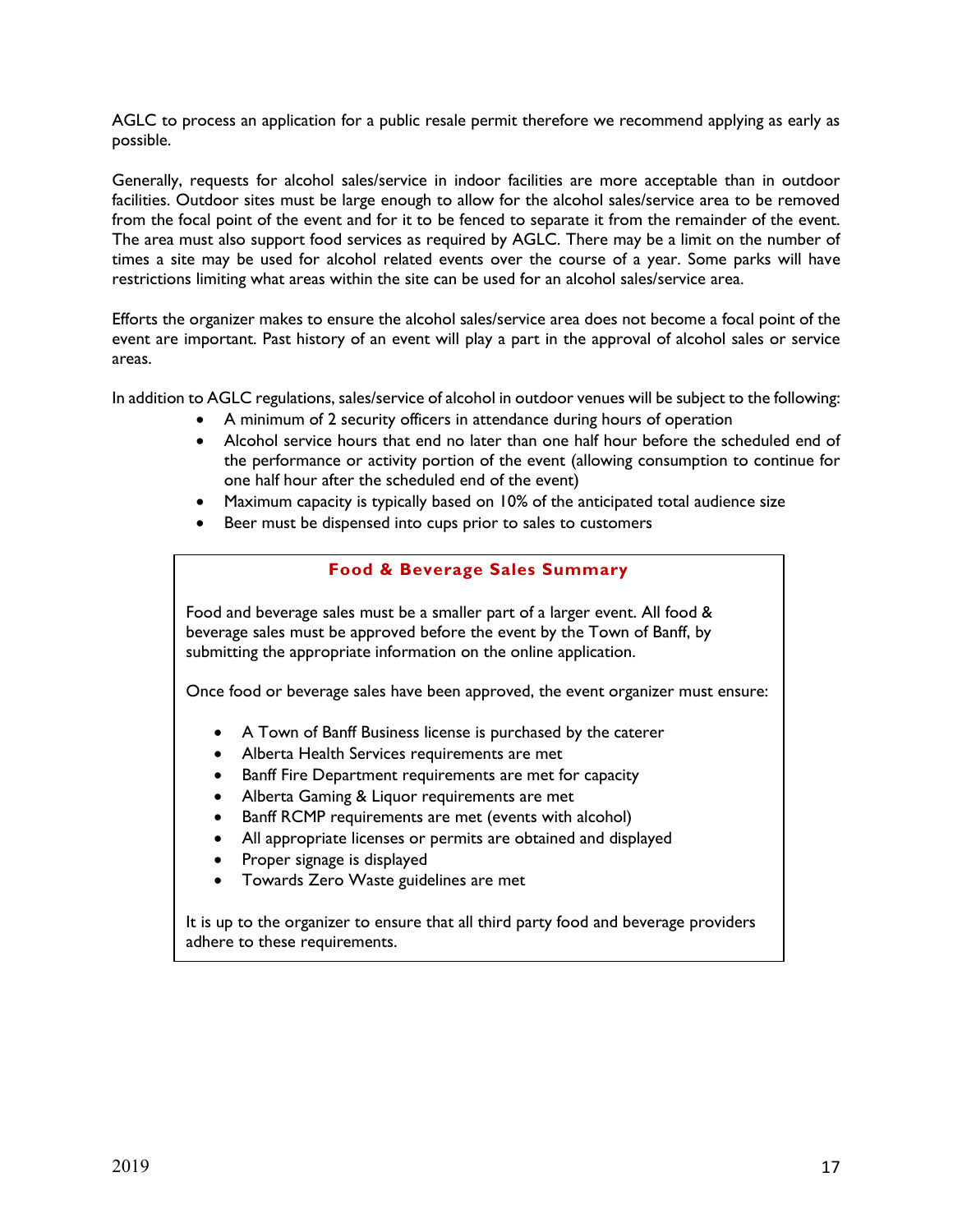AGLC to process an application for a public resale permit therefore we recommend applying as early as possible.

Generally, requests for alcohol sales/service in indoor facilities are more acceptable than in outdoor facilities. Outdoor sites must be large enough to allow for the alcohol sales/service area to be removed from the focal point of the event and for it to be fenced to separate it from the remainder of the event. The area must also support food services as required by AGLC. There may be a limit on the number of times a site may be used for alcohol related events over the course of a year. Some parks will have restrictions limiting what areas within the site can be used for an alcohol sales/service area.

Efforts the organizer makes to ensure the alcohol sales/service area does not become a focal point of the event are important. Past history of an event will play a part in the approval of alcohol sales or service areas.

In addition to AGLC regulations, sales/service of alcohol in outdoor venues will be subject to the following:

- A minimum of 2 security officers in attendance during hours of operation
- Alcohol service hours that end no later than one half hour before the scheduled end of the performance or activity portion of the event (allowing consumption to continue for one half hour after the scheduled end of the event)
- Maximum capacity is typically based on 10% of the anticipated total audience size
- Beer must be dispensed into cups prior to sales to customers

## **Food & Beverage Sales Summary**

Food and beverage sales must be a smaller part of a larger event. All food & beverage sales must be approved before the event by the Town of Banff, by submitting the appropriate information on the online application.

Once food or beverage sales have been approved, the event organizer must ensure:

- A Town of Banff Business license is purchased by the caterer
- Alberta Health Services requirements are met
- Banff Fire Department requirements are met for capacity
- Alberta Gaming & Liquor requirements are met
- Banff RCMP requirements are met (events with alcohol)
- All appropriate licenses or permits are obtained and displayed
- Proper signage is displayed
- Towards Zero Waste guidelines are met

It is up to the organizer to ensure that all third party food and beverage providers adhere to these requirements.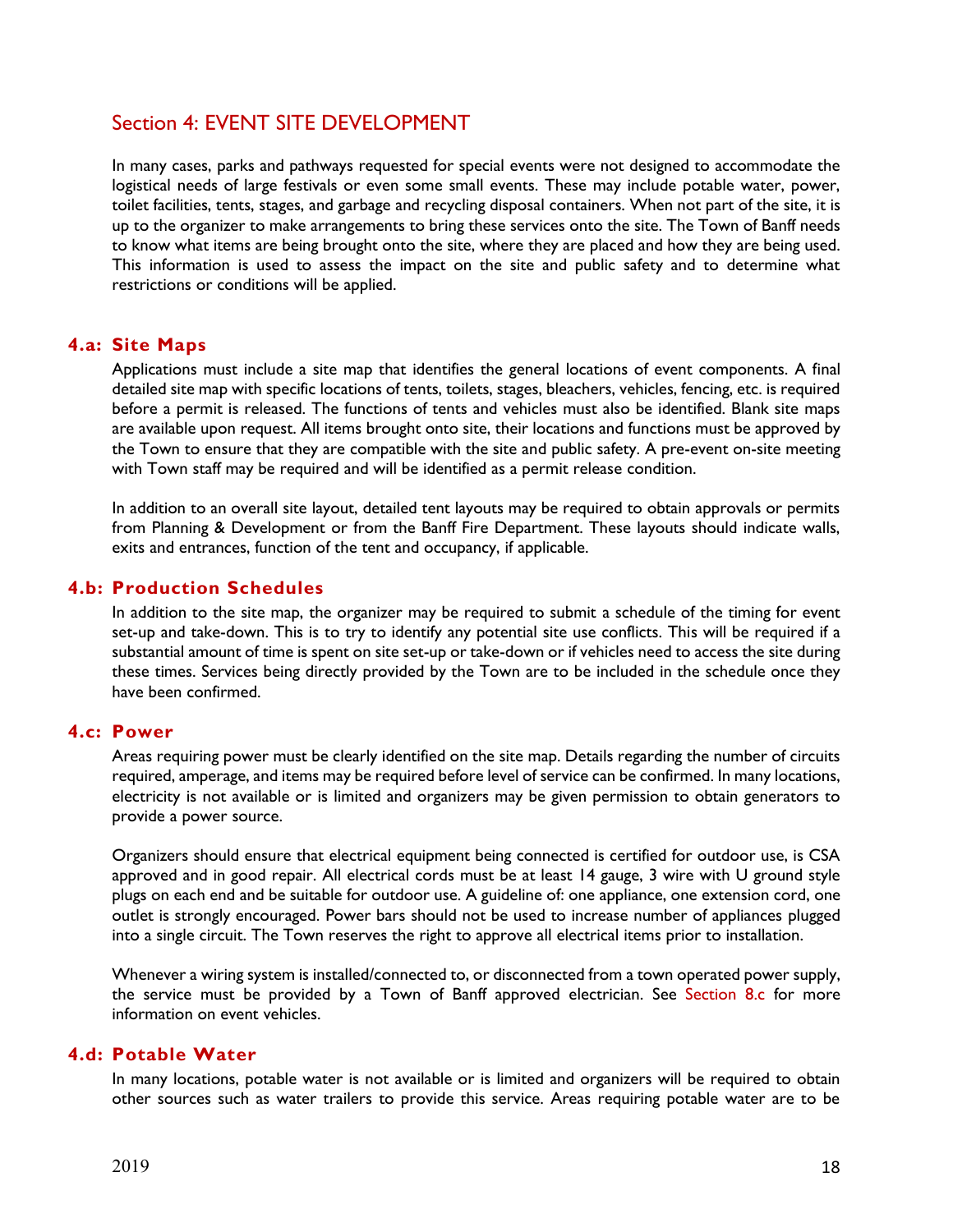# Section 4: EVENT SITE DEVELOPMENT

In many cases, parks and pathways requested for special events were not designed to accommodate the logistical needs of large festivals or even some small events. These may include potable water, power, toilet facilities, tents, stages, and garbage and recycling disposal containers. When not part of the site, it is up to the organizer to make arrangements to bring these services onto the site. The Town of Banff needs to know what items are being brought onto the site, where they are placed and how they are being used. This information is used to assess the impact on the site and public safety and to determine what restrictions or conditions will be applied.

## **4.a: Site Maps**

Applications must include a site map that identifies the general locations of event components. A final detailed site map with specific locations of tents, toilets, stages, bleachers, vehicles, fencing, etc. is required before a permit is released. The functions of tents and vehicles must also be identified. Blank site maps are available upon request. All items brought onto site, their locations and functions must be approved by the Town to ensure that they are compatible with the site and public safety. A pre-event on-site meeting with Town staff may be required and will be identified as a permit release condition.

In addition to an overall site layout, detailed tent layouts may be required to obtain approvals or permits from Planning & Development or from the Banff Fire Department. These layouts should indicate walls, exits and entrances, function of the tent and occupancy, if applicable.

## **4.b: Production Schedules**

In addition to the site map, the organizer may be required to submit a schedule of the timing for event set-up and take-down. This is to try to identify any potential site use conflicts. This will be required if a substantial amount of time is spent on site set-up or take-down or if vehicles need to access the site during these times. Services being directly provided by the Town are to be included in the schedule once they have been confirmed.

## **4.c: Power**

Areas requiring power must be clearly identified on the site map. Details regarding the number of circuits required, amperage, and items may be required before level of service can be confirmed. In many locations, electricity is not available or is limited and organizers may be given permission to obtain generators to provide a power source.

Organizers should ensure that electrical equipment being connected is certified for outdoor use, is CSA approved and in good repair. All electrical cords must be at least 14 gauge, 3 wire with U ground style plugs on each end and be suitable for outdoor use. A guideline of: one appliance, one extension cord, one outlet is strongly encouraged. Power bars should not be used to increase number of appliances plugged into a single circuit. The Town reserves the right to approve all electrical items prior to installation.

Whenever a wiring system is installed/connected to, or disconnected from a town operated power supply, the service must be provided by a Town of Banff approved electrician. See Section 8.c for more information on event vehicles.

## **4.d: Potable Water**

In many locations, potable water is not available or is limited and organizers will be required to obtain other sources such as water trailers to provide this service. Areas requiring potable water are to be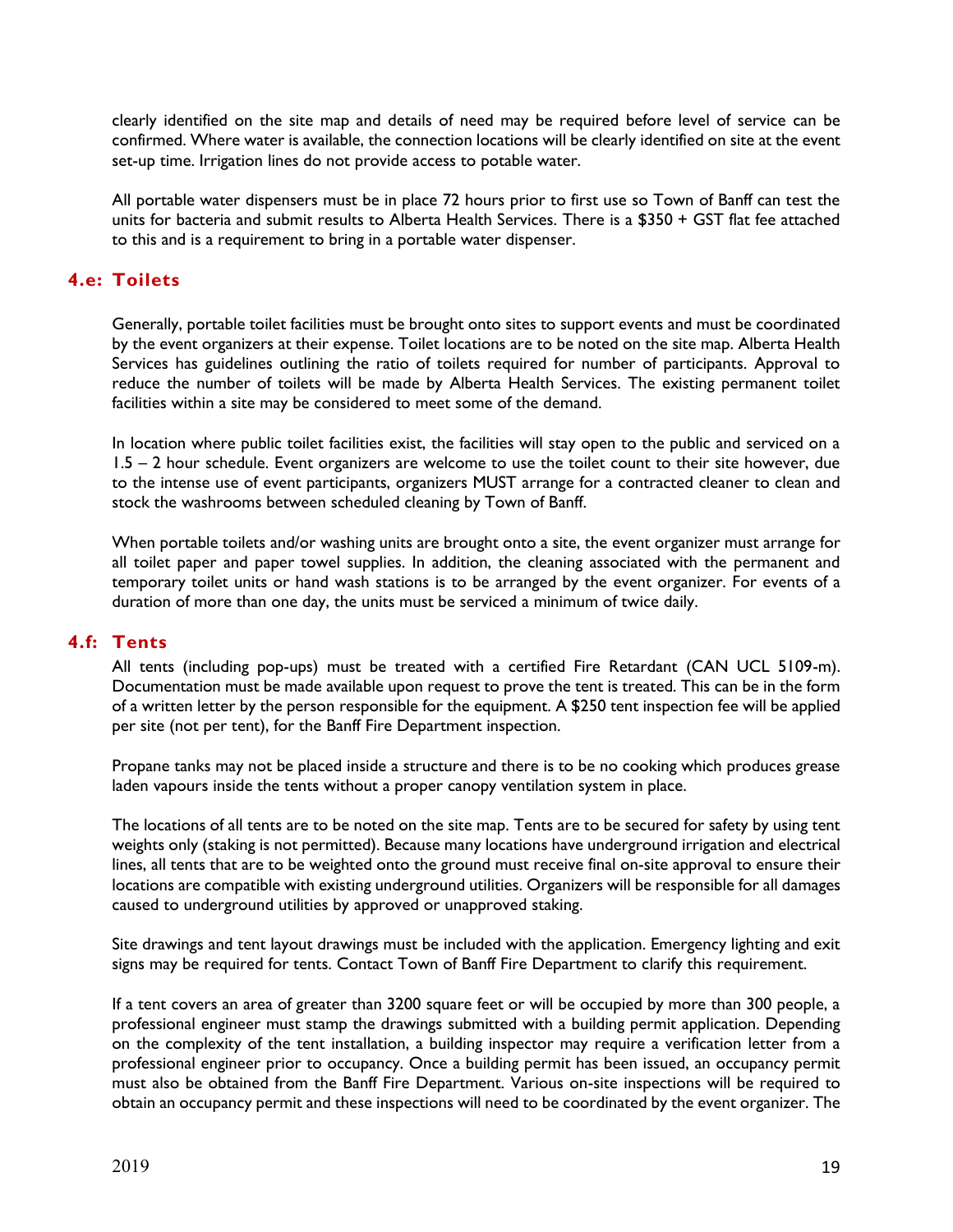clearly identified on the site map and details of need may be required before level of service can be confirmed. Where water is available, the connection locations will be clearly identified on site at the event set-up time. Irrigation lines do not provide access to potable water.

All portable water dispensers must be in place 72 hours prior to first use so Town of Banff can test the units for bacteria and submit results to Alberta Health Services. There is a \$350 + GST flat fee attached to this and is a requirement to bring in a portable water dispenser.

## **4.e: Toilets**

Generally, portable toilet facilities must be brought onto sites to support events and must be coordinated by the event organizers at their expense. Toilet locations are to be noted on the site map. Alberta Health Services has guidelines outlining the ratio of toilets required for number of participants. Approval to reduce the number of toilets will be made by Alberta Health Services. The existing permanent toilet facilities within a site may be considered to meet some of the demand.

In location where public toilet facilities exist, the facilities will stay open to the public and serviced on a 1.5 – 2 hour schedule. Event organizers are welcome to use the toilet count to their site however, due to the intense use of event participants, organizers MUST arrange for a contracted cleaner to clean and stock the washrooms between scheduled cleaning by Town of Banff.

When portable toilets and/or washing units are brought onto a site, the event organizer must arrange for all toilet paper and paper towel supplies. In addition, the cleaning associated with the permanent and temporary toilet units or hand wash stations is to be arranged by the event organizer. For events of a duration of more than one day, the units must be serviced a minimum of twice daily.

## **4.f: Tents**

All tents (including pop-ups) must be treated with a certified Fire Retardant (CAN UCL 5109-m). Documentation must be made available upon request to prove the tent is treated. This can be in the form of a written letter by the person responsible for the equipment. A \$250 tent inspection fee will be applied per site (not per tent), for the Banff Fire Department inspection.

Propane tanks may not be placed inside a structure and there is to be no cooking which produces grease laden vapours inside the tents without a proper canopy ventilation system in place.

The locations of all tents are to be noted on the site map. Tents are to be secured for safety by using tent weights only (staking is not permitted). Because many locations have underground irrigation and electrical lines, all tents that are to be weighted onto the ground must receive final on-site approval to ensure their locations are compatible with existing underground utilities. Organizers will be responsible for all damages caused to underground utilities by approved or unapproved staking.

Site drawings and tent layout drawings must be included with the application. Emergency lighting and exit signs may be required for tents. Contact Town of Banff Fire Department to clarify this requirement.

If a tent covers an area of greater than 3200 square feet or will be occupied by more than 300 people, a professional engineer must stamp the drawings submitted with a building permit application. Depending on the complexity of the tent installation, a building inspector may require a verification letter from a professional engineer prior to occupancy. Once a building permit has been issued, an occupancy permit must also be obtained from the Banff Fire Department. Various on-site inspections will be required to obtain an occupancy permit and these inspections will need to be coordinated by the event organizer. The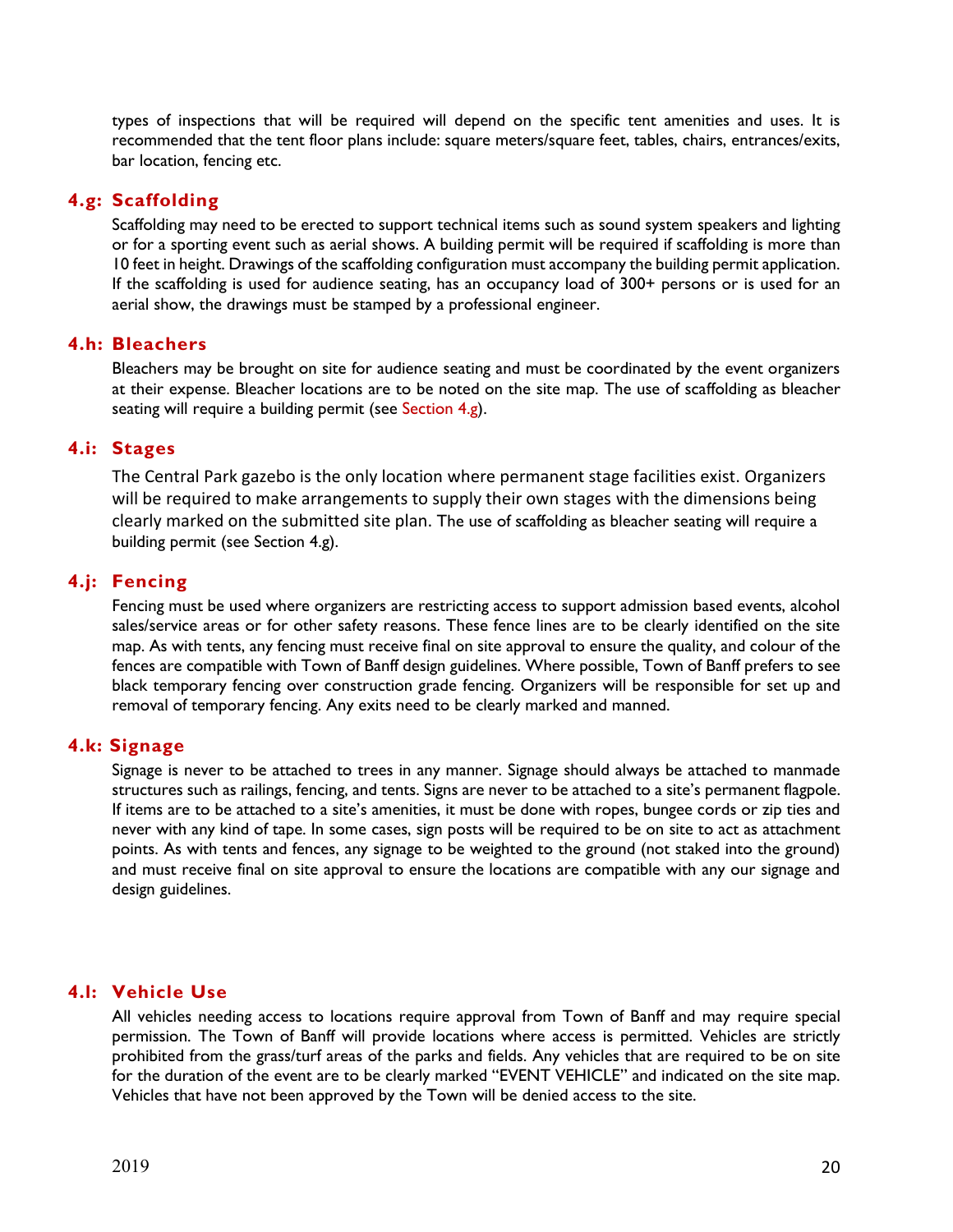types of inspections that will be required will depend on the specific tent amenities and uses. It is recommended that the tent floor plans include: square meters/square feet, tables, chairs, entrances/exits, bar location, fencing etc.

## **4.g: Scaffolding**

Scaffolding may need to be erected to support technical items such as sound system speakers and lighting or for a sporting event such as aerial shows. A building permit will be required if scaffolding is more than 10 feet in height. Drawings of the scaffolding configuration must accompany the building permit application. If the scaffolding is used for audience seating, has an occupancy load of 300+ persons or is used for an aerial show, the drawings must be stamped by a professional engineer.

## **4.h: Bleachers**

Bleachers may be brought on site for audience seating and must be coordinated by the event organizers at their expense. Bleacher locations are to be noted on the site map. The use of scaffolding as bleacher seating will require a building permit (see Section 4.g).

## **4.i: Stages**

The Central Park gazebo is the only location where permanent stage facilities exist. Organizers will be required to make arrangements to supply their own stages with the dimensions being clearly marked on the submitted site plan. The use of scaffolding as bleacher seating will require a building permit (see Section 4.g).

## **4.j: Fencing**

Fencing must be used where organizers are restricting access to support admission based events, alcohol sales/service areas or for other safety reasons. These fence lines are to be clearly identified on the site map. As with tents, any fencing must receive final on site approval to ensure the quality, and colour of the fences are compatible with Town of Banff design guidelines. Where possible, Town of Banff prefers to see black temporary fencing over construction grade fencing. Organizers will be responsible for set up and removal of temporary fencing. Any exits need to be clearly marked and manned.

## **4.k: Signage**

Signage is never to be attached to trees in any manner. Signage should always be attached to manmade structures such as railings, fencing, and tents. Signs are never to be attached to a site's permanent flagpole. If items are to be attached to a site's amenities, it must be done with ropes, bungee cords or zip ties and never with any kind of tape. In some cases, sign posts will be required to be on site to act as attachment points. As with tents and fences, any signage to be weighted to the ground (not staked into the ground) and must receive final on site approval to ensure the locations are compatible with any our signage and design guidelines.

## **4.l: Vehicle Use**

All vehicles needing access to locations require approval from Town of Banff and may require special permission. The Town of Banff will provide locations where access is permitted. Vehicles are strictly prohibited from the grass/turf areas of the parks and fields. Any vehicles that are required to be on site for the duration of the event are to be clearly marked "EVENT VEHICLE" and indicated on the site map. Vehicles that have not been approved by the Town will be denied access to the site.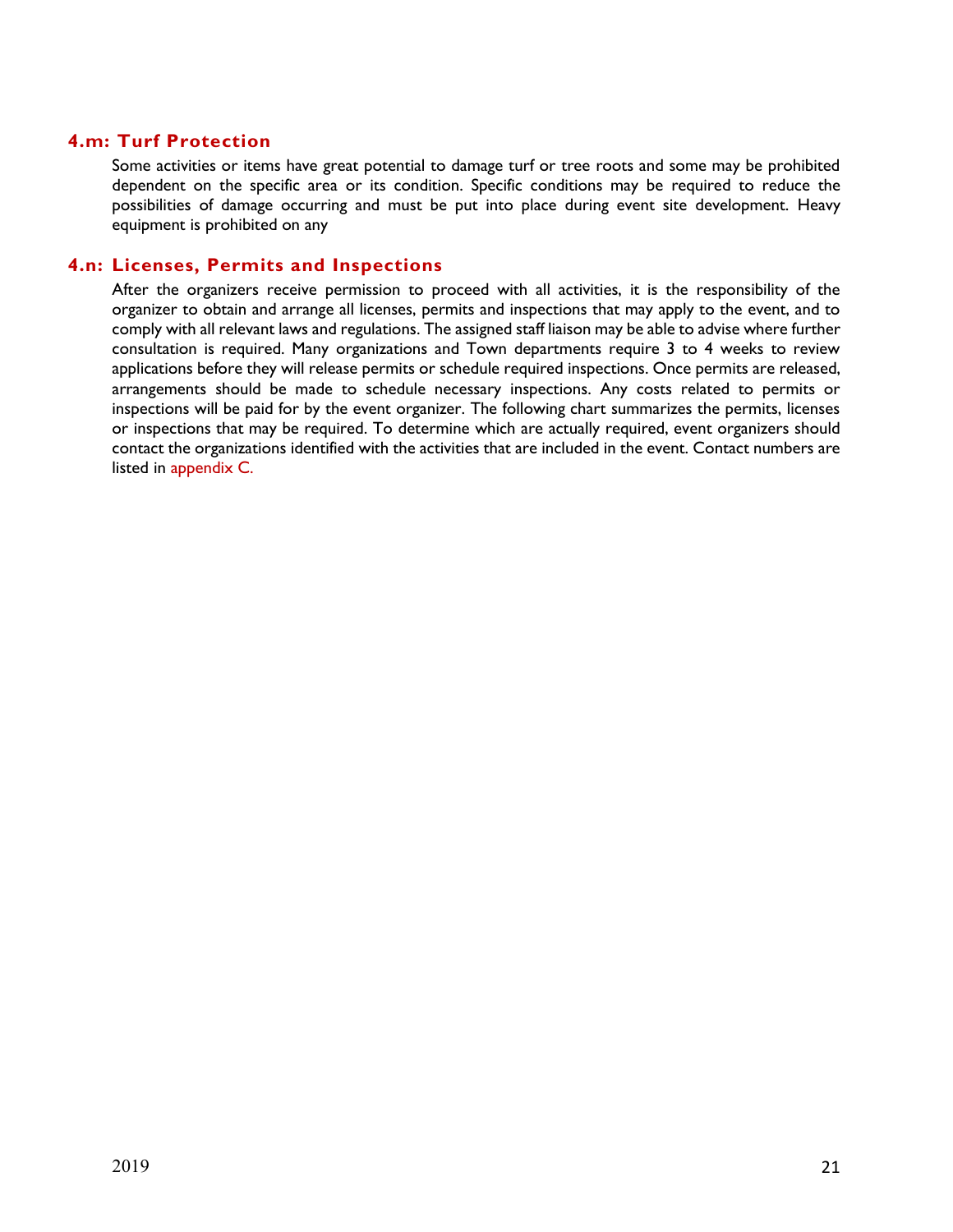## **4.m: Turf Protection**

Some activities or items have great potential to damage turf or tree roots and some may be prohibited dependent on the specific area or its condition. Specific conditions may be required to reduce the possibilities of damage occurring and must be put into place during event site development. Heavy equipment is prohibited on any

#### **4.n: Licenses, Permits and Inspections**

After the organizers receive permission to proceed with all activities, it is the responsibility of the organizer to obtain and arrange all licenses, permits and inspections that may apply to the event, and to comply with all relevant laws and regulations. The assigned staff liaison may be able to advise where further consultation is required. Many organizations and Town departments require 3 to 4 weeks to review applications before they will release permits or schedule required inspections. Once permits are released, arrangements should be made to schedule necessary inspections. Any costs related to permits or inspections will be paid for by the event organizer. The following chart summarizes the permits, licenses or inspections that may be required. To determine which are actually required, event organizers should contact the organizations identified with the activities that are included in the event. Contact numbers are listed in appendix C.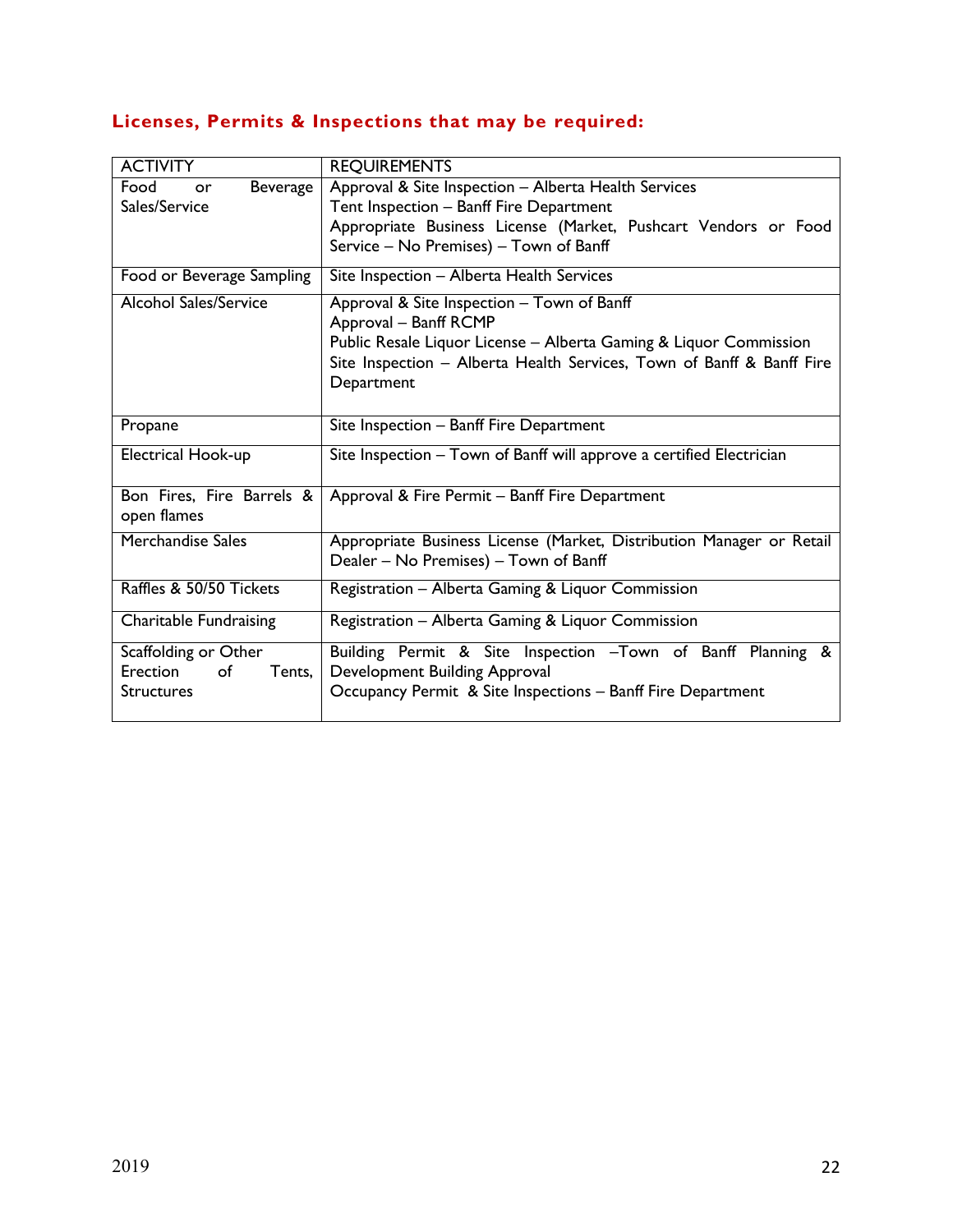# **Licenses, Permits & Inspections that may be required:**

| <b>ACTIVITY</b>                                      | <b>REQUIREMENTS</b>                                                                                                                                                                                                             |
|------------------------------------------------------|---------------------------------------------------------------------------------------------------------------------------------------------------------------------------------------------------------------------------------|
| Food<br>Beverage<br>or<br>Sales/Service              | Approval & Site Inspection - Alberta Health Services<br>Tent Inspection - Banff Fire Department                                                                                                                                 |
|                                                      | Appropriate Business License (Market, Pushcart Vendors or Food<br>Service - No Premises) - Town of Banff                                                                                                                        |
| Food or Beverage Sampling                            | Site Inspection - Alberta Health Services                                                                                                                                                                                       |
| <b>Alcohol Sales/Service</b>                         | Approval & Site Inspection - Town of Banff<br>Approval - Banff RCMP<br>Public Resale Liquor License - Alberta Gaming & Liquor Commission<br>Site Inspection - Alberta Health Services, Town of Banff & Banff Fire<br>Department |
| Propane                                              | Site Inspection - Banff Fire Department                                                                                                                                                                                         |
| Electrical Hook-up                                   | Site Inspection - Town of Banff will approve a certified Electrician                                                                                                                                                            |
| Bon Fires, Fire Barrels &<br>open flames             | Approval & Fire Permit - Banff Fire Department                                                                                                                                                                                  |
| Merchandise Sales                                    | Appropriate Business License (Market, Distribution Manager or Retail<br>Dealer - No Premises) - Town of Banff                                                                                                                   |
| Raffles & 50/50 Tickets                              | Registration - Alberta Gaming & Liquor Commission                                                                                                                                                                               |
| <b>Charitable Fundraising</b>                        | Registration - Alberta Gaming & Liquor Commission                                                                                                                                                                               |
| Scaffolding or Other                                 | Building Permit & Site Inspection -Town of Banff Planning &                                                                                                                                                                     |
| of<br><b>Erection</b><br>Tents,<br><b>Structures</b> | Development Building Approval<br>Occupancy Permit & Site Inspections - Banff Fire Department                                                                                                                                    |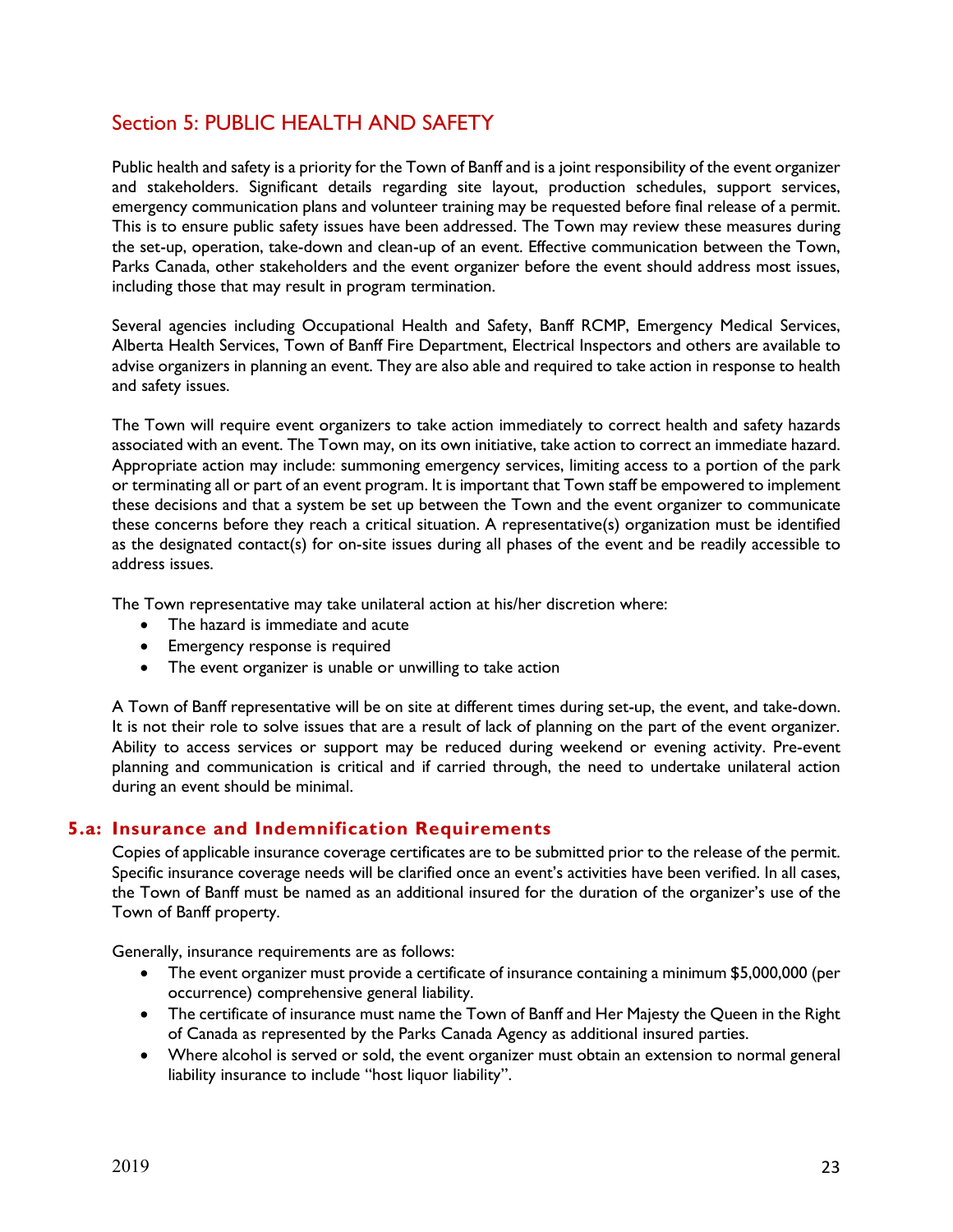# Section 5: PUBLIC HEALTH AND SAFETY

Public health and safety is a priority for the Town of Banff and is a joint responsibility of the event organizer and stakeholders. Significant details regarding site layout, production schedules, support services, emergency communication plans and volunteer training may be requested before final release of a permit. This is to ensure public safety issues have been addressed. The Town may review these measures during the set-up, operation, take-down and clean-up of an event. Effective communication between the Town, Parks Canada, other stakeholders and the event organizer before the event should address most issues, including those that may result in program termination.

Several agencies including Occupational Health and Safety, Banff RCMP, Emergency Medical Services, Alberta Health Services, Town of Banff Fire Department, Electrical Inspectors and others are available to advise organizers in planning an event. They are also able and required to take action in response to health and safety issues.

The Town will require event organizers to take action immediately to correct health and safety hazards associated with an event. The Town may, on its own initiative, take action to correct an immediate hazard. Appropriate action may include: summoning emergency services, limiting access to a portion of the park or terminating all or part of an event program. It is important that Town staff be empowered to implement these decisions and that a system be set up between the Town and the event organizer to communicate these concerns before they reach a critical situation. A representative(s) organization must be identified as the designated contact(s) for on-site issues during all phases of the event and be readily accessible to address issues.

The Town representative may take unilateral action at his/her discretion where:

- The hazard is immediate and acute
- **Emergency response is required**
- The event organizer is unable or unwilling to take action

A Town of Banff representative will be on site at different times during set-up, the event, and take-down. It is not their role to solve issues that are a result of lack of planning on the part of the event organizer. Ability to access services or support may be reduced during weekend or evening activity. Pre-event planning and communication is critical and if carried through, the need to undertake unilateral action during an event should be minimal.

## **5.a: Insurance and Indemnification Requirements**

Copies of applicable insurance coverage certificates are to be submitted prior to the release of the permit. Specific insurance coverage needs will be clarified once an event's activities have been verified. In all cases, the Town of Banff must be named as an additional insured for the duration of the organizer's use of the Town of Banff property.

Generally, insurance requirements are as follows:

- The event organizer must provide a certificate of insurance containing a minimum \$5,000,000 (per occurrence) comprehensive general liability.
- The certificate of insurance must name the Town of Banff and Her Majesty the Queen in the Right of Canada as represented by the Parks Canada Agency as additional insured parties.
- Where alcohol is served or sold, the event organizer must obtain an extension to normal general liability insurance to include "host liquor liability".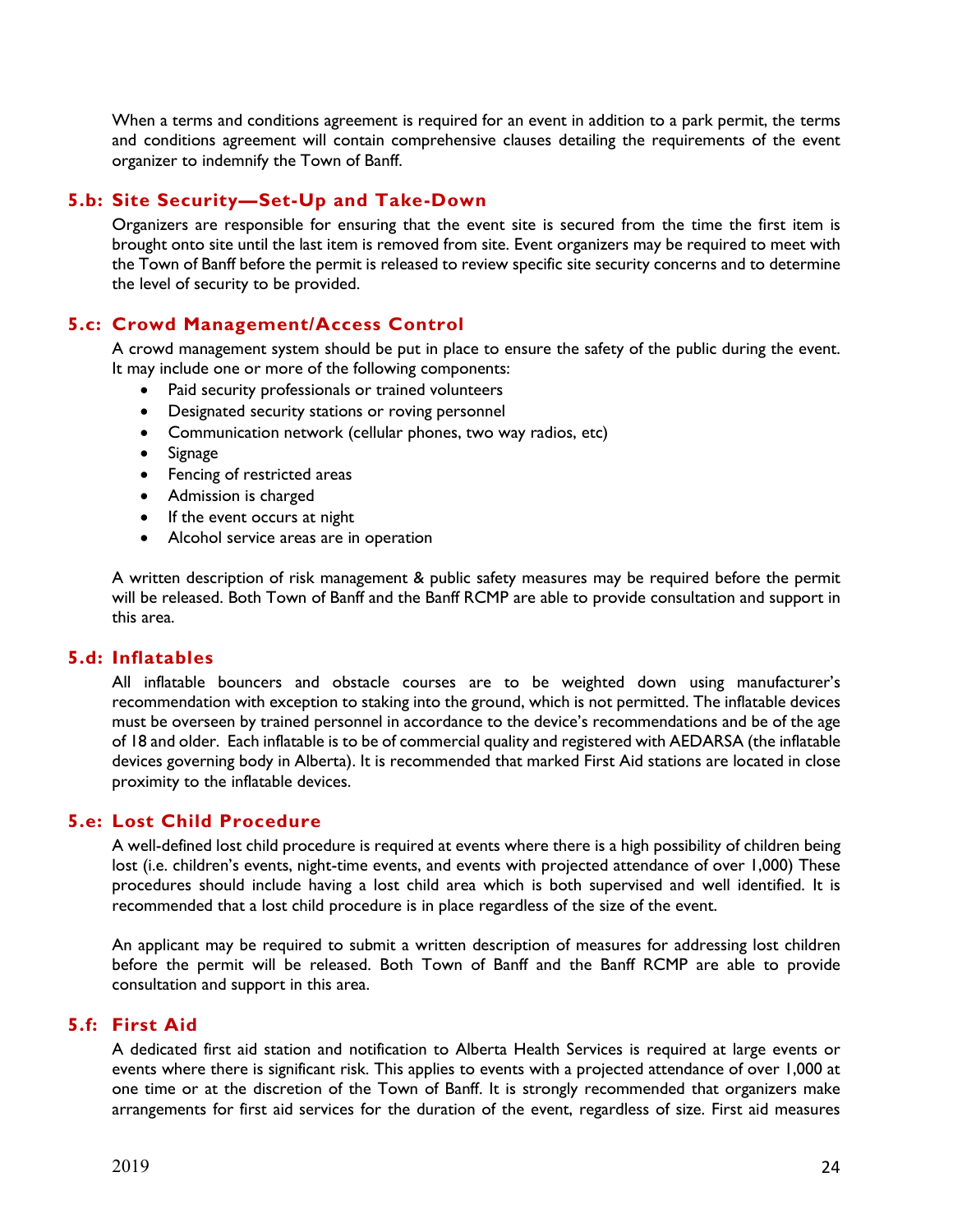When a terms and conditions agreement is required for an event in addition to a park permit, the terms and conditions agreement will contain comprehensive clauses detailing the requirements of the event organizer to indemnify the Town of Banff.

## **5.b: Site Security—Set-Up and Take-Down**

Organizers are responsible for ensuring that the event site is secured from the time the first item is brought onto site until the last item is removed from site. Event organizers may be required to meet with the Town of Banff before the permit is released to review specific site security concerns and to determine the level of security to be provided.

## **5.c: Crowd Management/Access Control**

A crowd management system should be put in place to ensure the safety of the public during the event. It may include one or more of the following components:

- Paid security professionals or trained volunteers
- Designated security stations or roving personnel
- Communication network (cellular phones, two way radios, etc)
- Signage
- Fencing of restricted areas
- Admission is charged
- If the event occurs at night
- Alcohol service areas are in operation

A written description of risk management & public safety measures may be required before the permit will be released. Both Town of Banff and the Banff RCMP are able to provide consultation and support in this area.

#### **5.d: Inflatables**

All inflatable bouncers and obstacle courses are to be weighted down using manufacturer's recommendation with exception to staking into the ground, which is not permitted. The inflatable devices must be overseen by trained personnel in accordance to the device's recommendations and be of the age of 18 and older. Each inflatable is to be of commercial quality and registered with AEDARSA (the inflatable devices governing body in Alberta). It is recommended that marked First Aid stations are located in close proximity to the inflatable devices.

#### **5.e: Lost Child Procedure**

A well-defined lost child procedure is required at events where there is a high possibility of children being lost (i.e. children's events, night-time events, and events with projected attendance of over 1,000) These procedures should include having a lost child area which is both supervised and well identified. It is recommended that a lost child procedure is in place regardless of the size of the event.

An applicant may be required to submit a written description of measures for addressing lost children before the permit will be released. Both Town of Banff and the Banff RCMP are able to provide consultation and support in this area.

#### **5.f: First Aid**

A dedicated first aid station and notification to Alberta Health Services is required at large events or events where there is significant risk. This applies to events with a projected attendance of over 1,000 at one time or at the discretion of the Town of Banff. It is strongly recommended that organizers make arrangements for first aid services for the duration of the event, regardless of size. First aid measures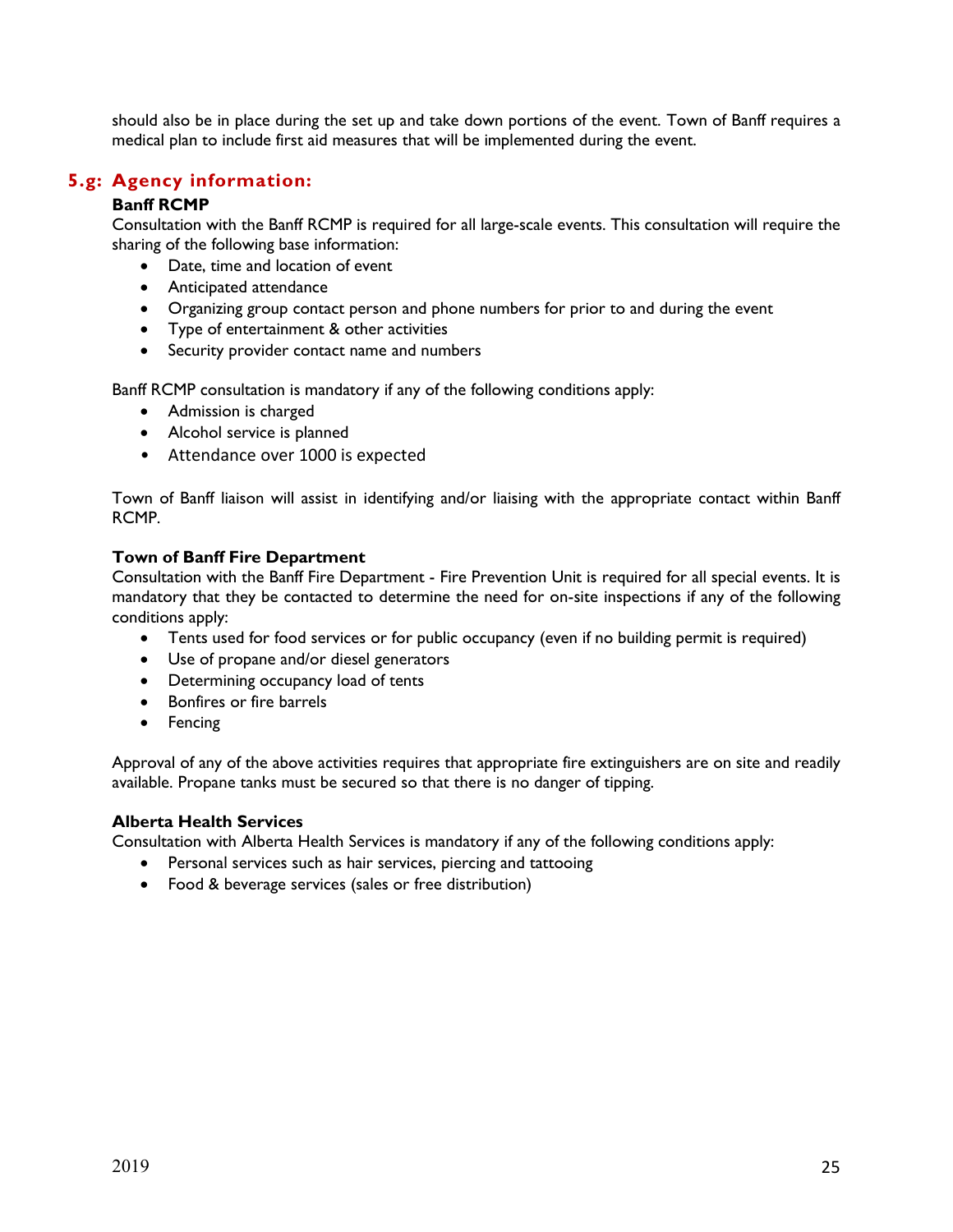should also be in place during the set up and take down portions of the event. Town of Banff requires a medical plan to include first aid measures that will be implemented during the event.

## **5.g: Agency information:**

## **Banff RCMP**

Consultation with the Banff RCMP is required for all large-scale events. This consultation will require the sharing of the following base information:

- Date, time and location of event
- Anticipated attendance
- Organizing group contact person and phone numbers for prior to and during the event
- Type of entertainment & other activities
- Security provider contact name and numbers

Banff RCMP consultation is mandatory if any of the following conditions apply:

- Admission is charged
- Alcohol service is planned
- Attendance over 1000 is expected

Town of Banff liaison will assist in identifying and/or liaising with the appropriate contact within Banff RCMP.

#### **Town of Banff Fire Department**

Consultation with the Banff Fire Department - Fire Prevention Unit is required for all special events. It is mandatory that they be contacted to determine the need for on-site inspections if any of the following conditions apply:

- Tents used for food services or for public occupancy (even if no building permit is required)
- Use of propane and/or diesel generators
- Determining occupancy load of tents
- **•** Bonfires or fire barrels
- Fencing

Approval of any of the above activities requires that appropriate fire extinguishers are on site and readily available. Propane tanks must be secured so that there is no danger of tipping.

#### **Alberta Health Services**

Consultation with Alberta Health Services is mandatory if any of the following conditions apply:

- Personal services such as hair services, piercing and tattooing
- Food & beverage services (sales or free distribution)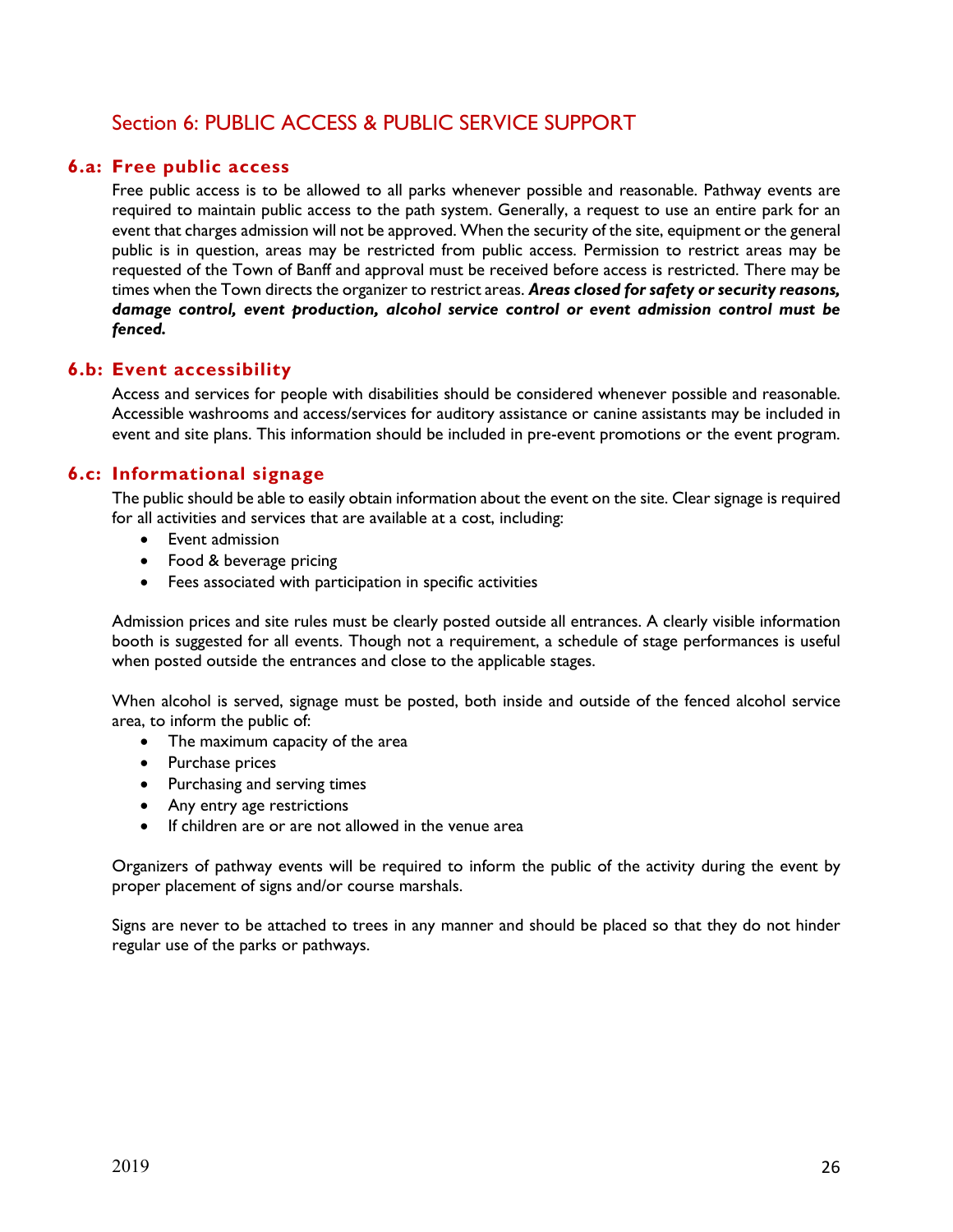# Section 6: PUBLIC ACCESS & PUBLIC SERVICE SUPPORT

## **6.a: Free public access**

Free public access is to be allowed to all parks whenever possible and reasonable. Pathway events are required to maintain public access to the path system. Generally, a request to use an entire park for an event that charges admission will not be approved. When the security of the site, equipment or the general public is in question, areas may be restricted from public access. Permission to restrict areas may be requested of the Town of Banff and approval must be received before access is restricted. There may be times when the Town directs the organizer to restrict areas. *Areas closed for safety or security reasons, damage control, event production, alcohol service control or event admission control must be fenced.* 

#### **6.b: Event accessibility**

Access and services for people with disabilities should be considered whenever possible and reasonable. Accessible washrooms and access/services for auditory assistance or canine assistants may be included in event and site plans. This information should be included in pre-event promotions or the event program.

## **6.c: Informational signage**

The public should be able to easily obtain information about the event on the site. Clear signage is required for all activities and services that are available at a cost, including:

- Event admission
- Food & beverage pricing
- Fees associated with participation in specific activities

Admission prices and site rules must be clearly posted outside all entrances. A clearly visible information booth is suggested for all events. Though not a requirement, a schedule of stage performances is useful when posted outside the entrances and close to the applicable stages.

When alcohol is served, signage must be posted, both inside and outside of the fenced alcohol service area, to inform the public of:

- The maximum capacity of the area
- Purchase prices
- Purchasing and serving times
- Any entry age restrictions
- If children are or are not allowed in the venue area

Organizers of pathway events will be required to inform the public of the activity during the event by proper placement of signs and/or course marshals.

Signs are never to be attached to trees in any manner and should be placed so that they do not hinder regular use of the parks or pathways.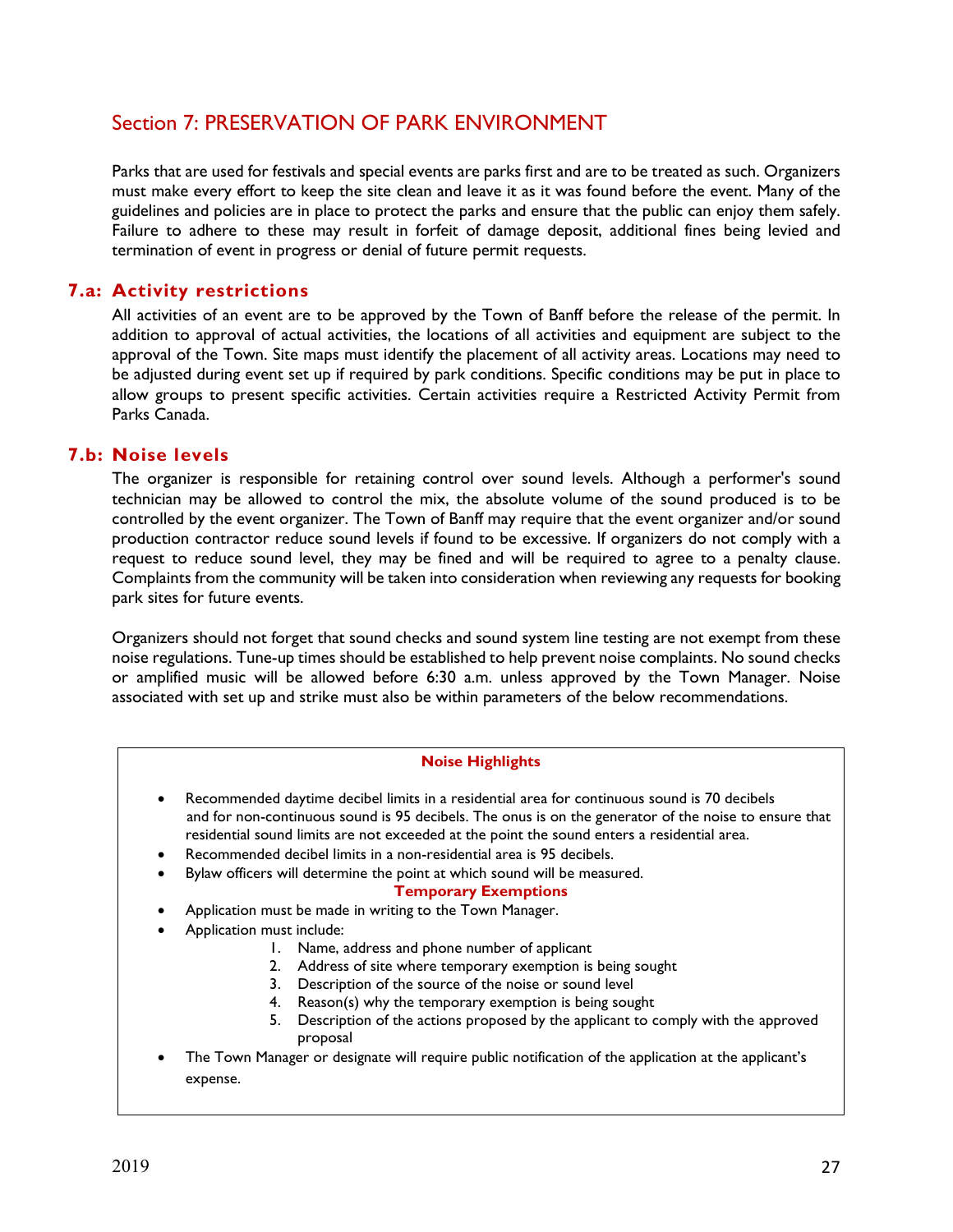# Section 7: PRESERVATION OF PARK ENVIRONMENT

Parks that are used for festivals and special events are parks first and are to be treated as such. Organizers must make every effort to keep the site clean and leave it as it was found before the event. Many of the guidelines and policies are in place to protect the parks and ensure that the public can enjoy them safely. Failure to adhere to these may result in forfeit of damage deposit, additional fines being levied and termination of event in progress or denial of future permit requests.

## **7.a: Activity restrictions**

All activities of an event are to be approved by the Town of Banff before the release of the permit. In addition to approval of actual activities, the locations of all activities and equipment are subject to the approval of the Town. Site maps must identify the placement of all activity areas. Locations may need to be adjusted during event set up if required by park conditions. Specific conditions may be put in place to allow groups to present specific activities. Certain activities require a Restricted Activity Permit from Parks Canada.

## **7.b: Noise levels**

The organizer is responsible for retaining control over sound levels. Although a performer's sound technician may be allowed to control the mix, the absolute volume of the sound produced is to be controlled by the event organizer. The Town of Banff may require that the event organizer and/or sound production contractor reduce sound levels if found to be excessive. If organizers do not comply with a request to reduce sound level, they may be fined and will be required to agree to a penalty clause. Complaints from the community will be taken into consideration when reviewing any requests for booking park sites for future events.

Organizers should not forget that sound checks and sound system line testing are not exempt from these noise regulations. Tune-up times should be established to help prevent noise complaints. No sound checks or amplified music will be allowed before 6:30 a.m. unless approved by the Town Manager. Noise associated with set up and strike must also be within parameters of the below recommendations.

#### **Noise Highlights**

- Recommended daytime decibel limits in a residential area for continuous sound is 70 decibels and for non-continuous sound is 95 decibels. The onus is on the generator of the noise to ensure that residential sound limits are not exceeded at the point the sound enters a residential area.
- Recommended decibel limits in a non-residential area is 95 decibels.
	- Bylaw officers will determine the point at which sound will be measured.

#### **Temporary Exemptions**

- Application must be made in writing to the Town Manager.
- Application must include:
	- 1. Name, address and phone number of applicant
	- 2. Address of site where temporary exemption is being sought
	- 3. Description of the source of the noise or sound level
	- 4. Reason(s) why the temporary exemption is being sought
	- 5. Description of the actions proposed by the applicant to comply with the approved proposal
- The Town Manager or designate will require public notification of the application at the applicant's expense.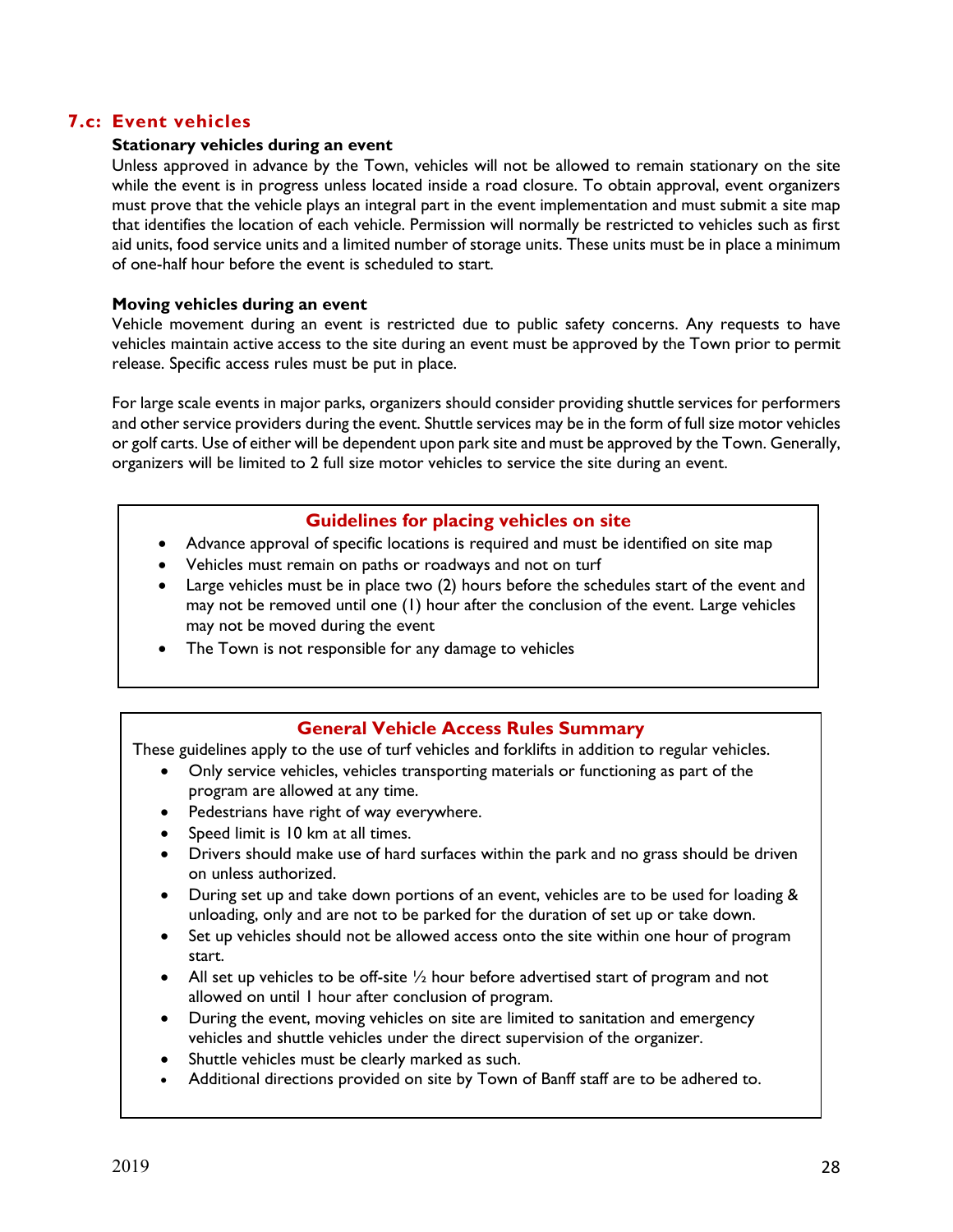## **7.c: Event vehicles**

#### **Stationary vehicles during an event**

Unless approved in advance by the Town, vehicles will not be allowed to remain stationary on the site while the event is in progress unless located inside a road closure. To obtain approval, event organizers must prove that the vehicle plays an integral part in the event implementation and must submit a site map that identifies the location of each vehicle. Permission will normally be restricted to vehicles such as first aid units, food service units and a limited number of storage units. These units must be in place a minimum of one-half hour before the event is scheduled to start.

#### **Moving vehicles during an event**

Vehicle movement during an event is restricted due to public safety concerns. Any requests to have vehicles maintain active access to the site during an event must be approved by the Town prior to permit release. Specific access rules must be put in place.

For large scale events in major parks, organizers should consider providing shuttle services for performers and other service providers during the event. Shuttle services may be in the form of full size motor vehicles or golf carts. Use of either will be dependent upon park site and must be approved by the Town. Generally, organizers will be limited to 2 full size motor vehicles to service the site during an event.

#### **Guidelines for placing vehicles on site**

- Advance approval of specific locations is required and must be identified on site map
- Vehicles must remain on paths or roadways and not on turf
- Large vehicles must be in place two (2) hours before the schedules start of the event and may not be removed until one (1) hour after the conclusion of the event. Large vehicles may not be moved during the event
- The Town is not responsible for any damage to vehicles

## **General Vehicle Access Rules Summary**

These guidelines apply to the use of turf vehicles and forklifts in addition to regular vehicles.

- Only service vehicles, vehicles transporting materials or functioning as part of the program are allowed at any time.
- Pedestrians have right of way everywhere.
- Speed limit is 10 km at all times.
- Drivers should make use of hard surfaces within the park and no grass should be driven on unless authorized.
- During set up and take down portions of an event, vehicles are to be used for loading & unloading, only and are not to be parked for the duration of set up or take down.
- Set up vehicles should not be allowed access onto the site within one hour of program start.
- All set up vehicles to be off-site  $\frac{1}{2}$  hour before advertised start of program and not allowed on until 1 hour after conclusion of program.
- During the event, moving vehicles on site are limited to sanitation and emergency vehicles and shuttle vehicles under the direct supervision of the organizer.
- Shuttle vehicles must be clearly marked as such.
- Additional directions provided on site by Town of Banff staff are to be adhered to.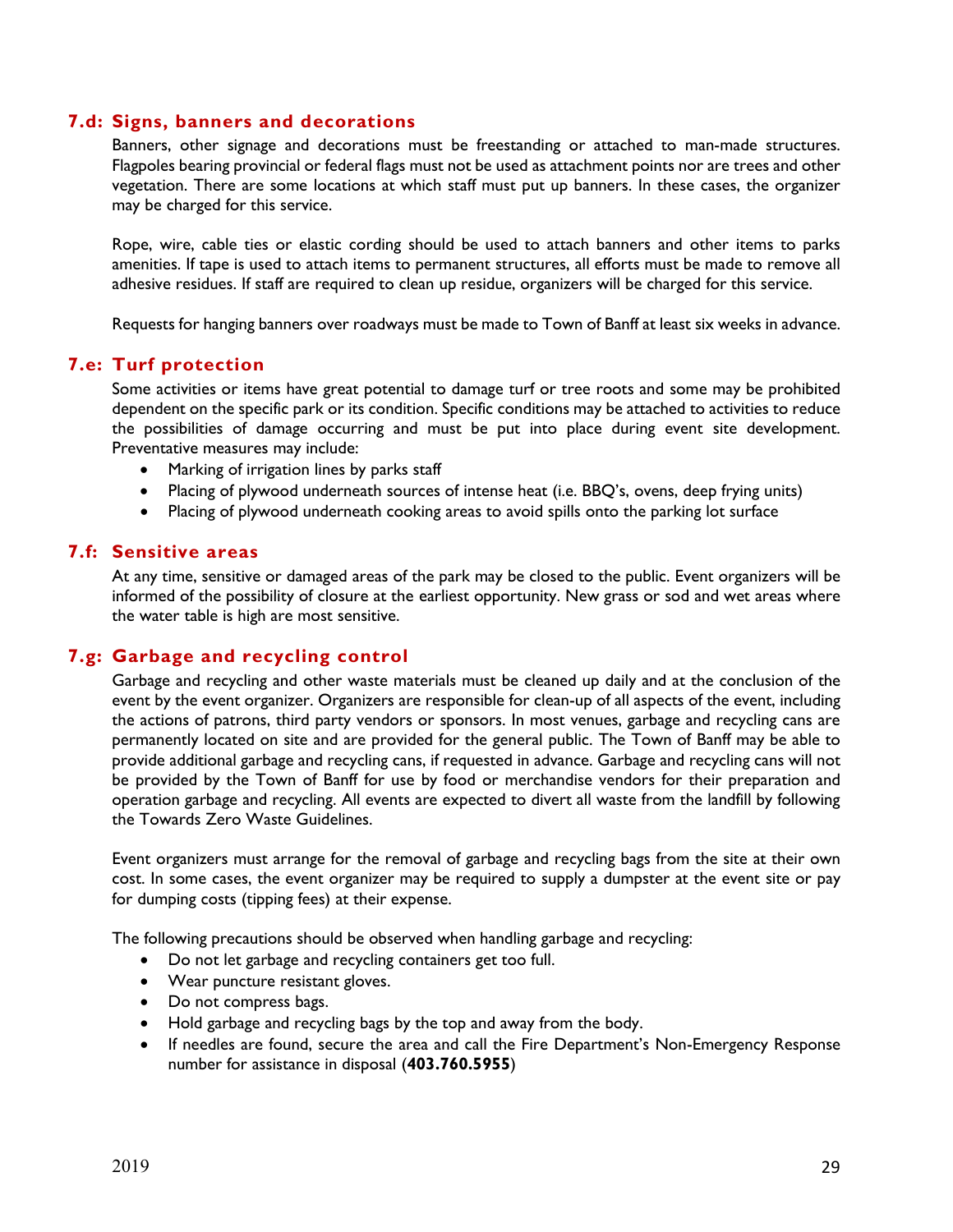#### **7.d: Signs, banners and decorations**

Banners, other signage and decorations must be freestanding or attached to man-made structures. Flagpoles bearing provincial or federal flags must not be used as attachment points nor are trees and other vegetation. There are some locations at which staff must put up banners. In these cases, the organizer may be charged for this service.

Rope, wire, cable ties or elastic cording should be used to attach banners and other items to parks amenities. If tape is used to attach items to permanent structures, all efforts must be made to remove all adhesive residues. If staff are required to clean up residue, organizers will be charged for this service.

Requests for hanging banners over roadways must be made to Town of Banff at least six weeks in advance.

#### **7.e: Turf protection**

Some activities or items have great potential to damage turf or tree roots and some may be prohibited dependent on the specific park or its condition. Specific conditions may be attached to activities to reduce the possibilities of damage occurring and must be put into place during event site development. Preventative measures may include:

- Marking of irrigation lines by parks staff
- Placing of plywood underneath sources of intense heat (i.e. BBQ's, ovens, deep frying units)
- Placing of plywood underneath cooking areas to avoid spills onto the parking lot surface

#### **7.f: Sensitive areas**

At any time, sensitive or damaged areas of the park may be closed to the public. Event organizers will be informed of the possibility of closure at the earliest opportunity. New grass or sod and wet areas where the water table is high are most sensitive.

## **7.g: Garbage and recycling control**

Garbage and recycling and other waste materials must be cleaned up daily and at the conclusion of the event by the event organizer. Organizers are responsible for clean-up of all aspects of the event, including the actions of patrons, third party vendors or sponsors. In most venues, garbage and recycling cans are permanently located on site and are provided for the general public. The Town of Banff may be able to provide additional garbage and recycling cans, if requested in advance. Garbage and recycling cans will not be provided by the Town of Banff for use by food or merchandise vendors for their preparation and operation garbage and recycling. All events are expected to divert all waste from the landfill by following the Towards Zero Waste Guidelines.

Event organizers must arrange for the removal of garbage and recycling bags from the site at their own cost. In some cases, the event organizer may be required to supply a dumpster at the event site or pay for dumping costs (tipping fees) at their expense.

The following precautions should be observed when handling garbage and recycling:

- Do not let garbage and recycling containers get too full.
- Wear puncture resistant gloves.
- Do not compress bags.
- Hold garbage and recycling bags by the top and away from the body.
- If needles are found, secure the area and call the Fire Department's Non-Emergency Response number for assistance in disposal (**403.760.5955**)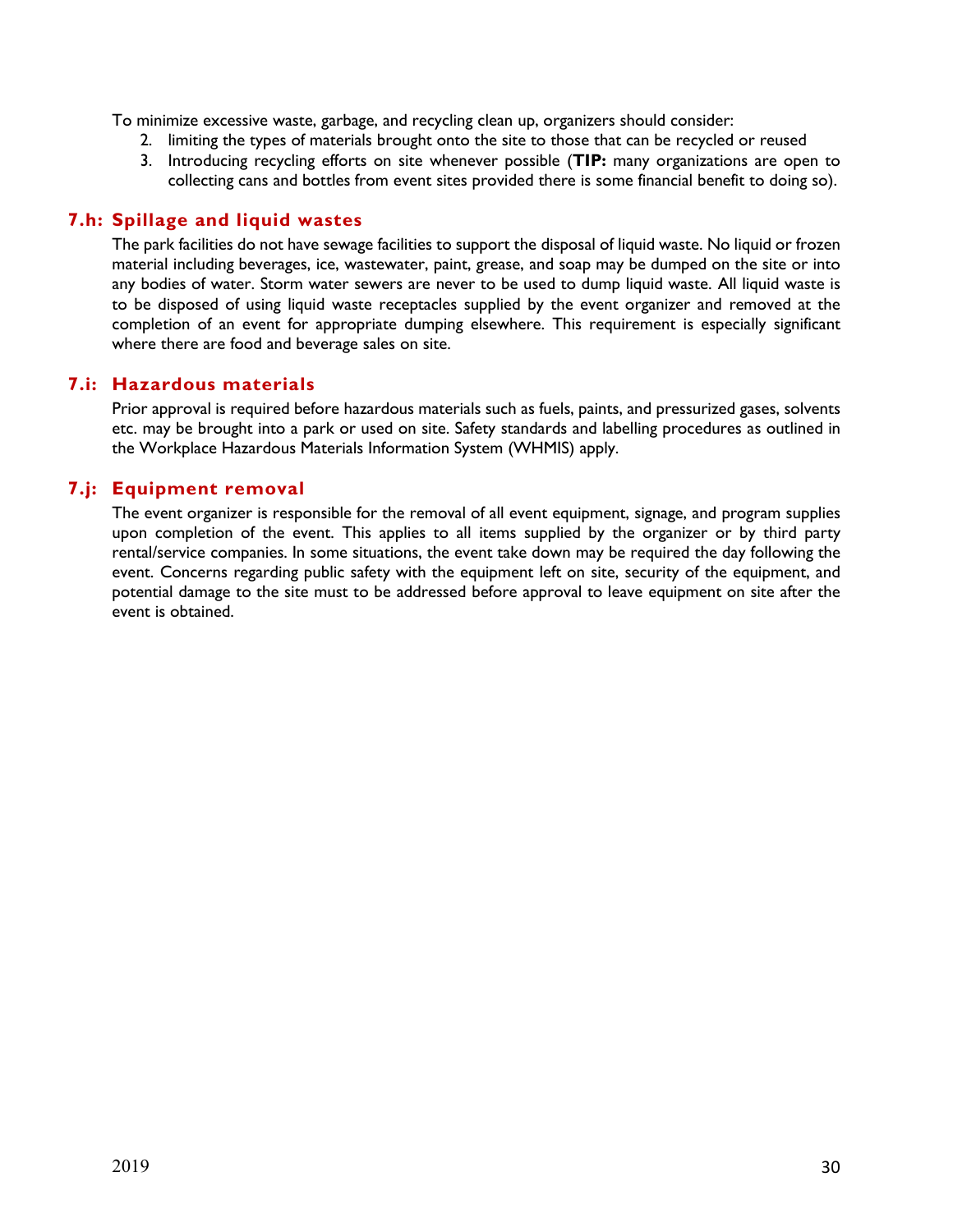To minimize excessive waste, garbage, and recycling clean up, organizers should consider:

- 2. limiting the types of materials brought onto the site to those that can be recycled or reused
- 3. Introducing recycling efforts on site whenever possible (**TIP:** many organizations are open to collecting cans and bottles from event sites provided there is some financial benefit to doing so).

## **7.h: Spillage and liquid wastes**

The park facilities do not have sewage facilities to support the disposal of liquid waste. No liquid or frozen material including beverages, ice, wastewater, paint, grease, and soap may be dumped on the site or into any bodies of water. Storm water sewers are never to be used to dump liquid waste. All liquid waste is to be disposed of using liquid waste receptacles supplied by the event organizer and removed at the completion of an event for appropriate dumping elsewhere. This requirement is especially significant where there are food and beverage sales on site.

## **7.i: Hazardous materials**

Prior approval is required before hazardous materials such as fuels, paints, and pressurized gases, solvents etc. may be brought into a park or used on site. Safety standards and labelling procedures as outlined in the Workplace Hazardous Materials Information System (WHMIS) apply.

## **7.j: Equipment removal**

The event organizer is responsible for the removal of all event equipment, signage, and program supplies upon completion of the event. This applies to all items supplied by the organizer or by third party rental/service companies. In some situations, the event take down may be required the day following the event. Concerns regarding public safety with the equipment left on site, security of the equipment, and potential damage to the site must to be addressed before approval to leave equipment on site after the event is obtained.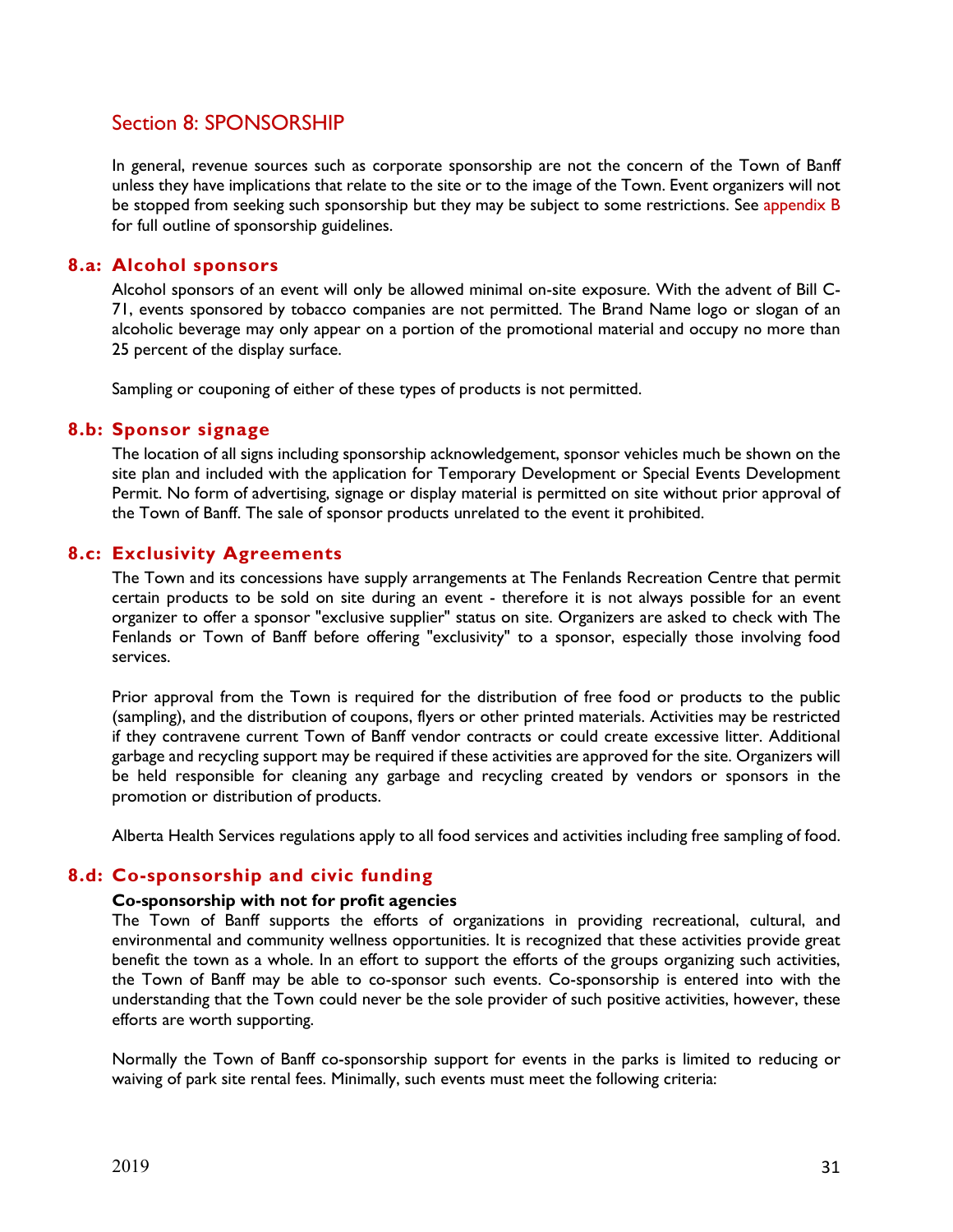# Section 8: SPONSORSHIP

In general, revenue sources such as corporate sponsorship are not the concern of the Town of Banff unless they have implications that relate to the site or to the image of the Town. Event organizers will not be stopped from seeking such sponsorship but they may be subject to some restrictions. See appendix B for full outline of sponsorship guidelines.

#### **8.a: Alcohol sponsors**

Alcohol sponsors of an event will only be allowed minimal on-site exposure. With the advent of Bill C-71, events sponsored by tobacco companies are not permitted. The Brand Name logo or slogan of an alcoholic beverage may only appear on a portion of the promotional material and occupy no more than 25 percent of the display surface.

Sampling or couponing of either of these types of products is not permitted.

#### **8.b: Sponsor signage**

The location of all signs including sponsorship acknowledgement, sponsor vehicles much be shown on the site plan and included with the application for Temporary Development or Special Events Development Permit. No form of advertising, signage or display material is permitted on site without prior approval of the Town of Banff. The sale of sponsor products unrelated to the event it prohibited.

#### **8.c: Exclusivity Agreements**

The Town and its concessions have supply arrangements at The Fenlands Recreation Centre that permit certain products to be sold on site during an event - therefore it is not always possible for an event organizer to offer a sponsor "exclusive supplier" status on site. Organizers are asked to check with The Fenlands or Town of Banff before offering "exclusivity" to a sponsor, especially those involving food services.

Prior approval from the Town is required for the distribution of free food or products to the public (sampling), and the distribution of coupons, flyers or other printed materials. Activities may be restricted if they contravene current Town of Banff vendor contracts or could create excessive litter. Additional garbage and recycling support may be required if these activities are approved for the site. Organizers will be held responsible for cleaning any garbage and recycling created by vendors or sponsors in the promotion or distribution of products.

Alberta Health Services regulations apply to all food services and activities including free sampling of food.

## **8.d: Co-sponsorship and civic funding**

#### **Co-sponsorship with not for profit agencies**

The Town of Banff supports the efforts of organizations in providing recreational, cultural, and environmental and community wellness opportunities. It is recognized that these activities provide great benefit the town as a whole. In an effort to support the efforts of the groups organizing such activities, the Town of Banff may be able to co-sponsor such events. Co-sponsorship is entered into with the understanding that the Town could never be the sole provider of such positive activities, however, these efforts are worth supporting.

Normally the Town of Banff co-sponsorship support for events in the parks is limited to reducing or waiving of park site rental fees. Minimally, such events must meet the following criteria: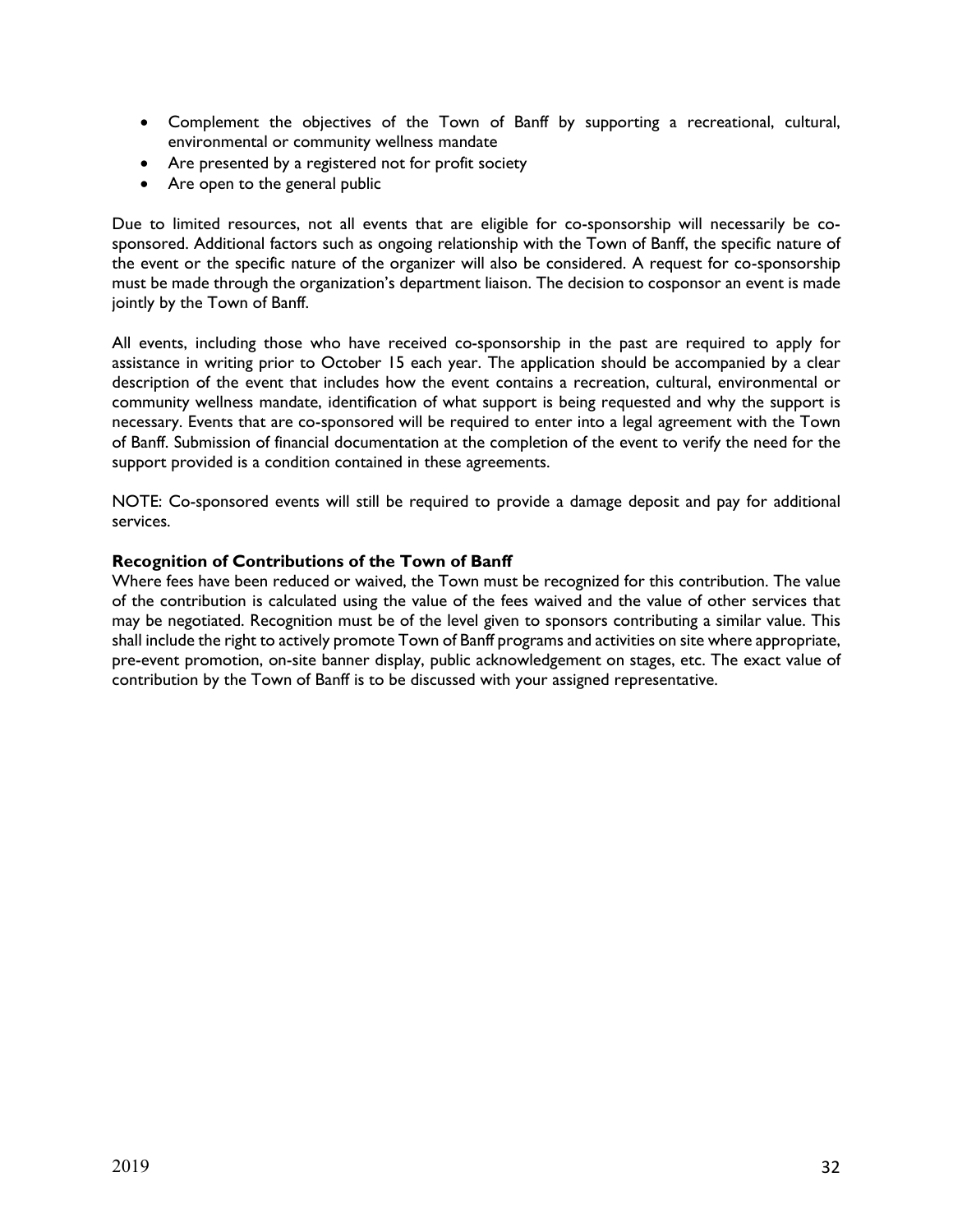- Complement the objectives of the Town of Banff by supporting a recreational, cultural, environmental or community wellness mandate
- Are presented by a registered not for profit society
- Are open to the general public

Due to limited resources, not all events that are eligible for co-sponsorship will necessarily be cosponsored. Additional factors such as ongoing relationship with the Town of Banff, the specific nature of the event or the specific nature of the organizer will also be considered. A request for co-sponsorship must be made through the organization's department liaison. The decision to cosponsor an event is made jointly by the Town of Banff.

All events, including those who have received co-sponsorship in the past are required to apply for assistance in writing prior to October 15 each year. The application should be accompanied by a clear description of the event that includes how the event contains a recreation, cultural, environmental or community wellness mandate, identification of what support is being requested and why the support is necessary. Events that are co-sponsored will be required to enter into a legal agreement with the Town of Banff. Submission of financial documentation at the completion of the event to verify the need for the support provided is a condition contained in these agreements.

NOTE: Co-sponsored events will still be required to provide a damage deposit and pay for additional services.

## **Recognition of Contributions of the Town of Banff**

Where fees have been reduced or waived, the Town must be recognized for this contribution. The value of the contribution is calculated using the value of the fees waived and the value of other services that may be negotiated. Recognition must be of the level given to sponsors contributing a similar value. This shall include the right to actively promote Town of Banff programs and activities on site where appropriate, pre-event promotion, on-site banner display, public acknowledgement on stages, etc. The exact value of contribution by the Town of Banff is to be discussed with your assigned representative.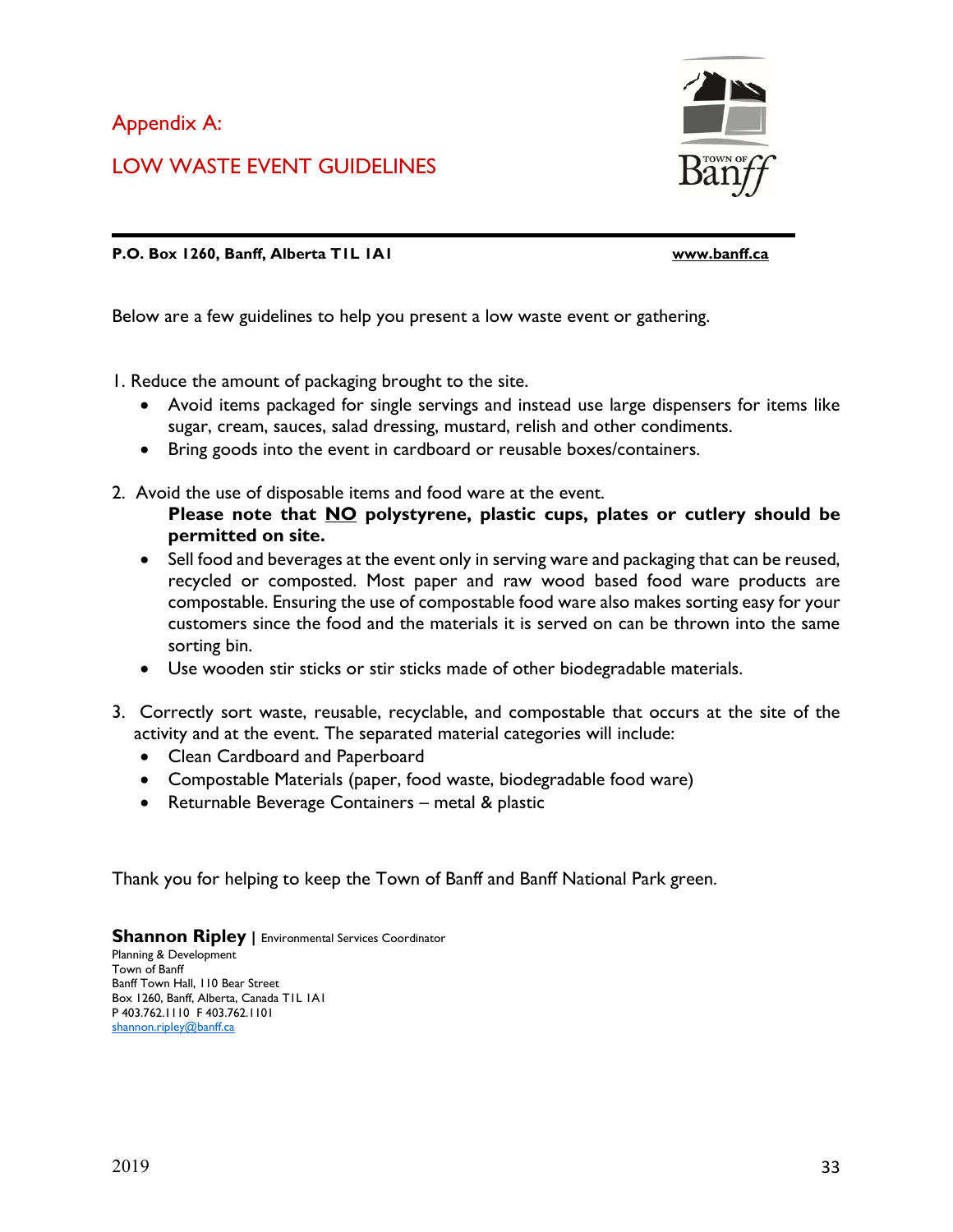Appendix A:

LOW WASTE EVENT GUIDELINES



**P.O. Box 1260, Banff, Alberta T1L 1A1 [www.banff.ca](http://www.banff.ca/)**

Below are a few guidelines to help you present a low waste event or gathering.

1. Reduce the amount of packaging brought to the site.

- Avoid items packaged for single servings and instead use large dispensers for items like sugar, cream, sauces, salad dressing, mustard, relish and other condiments.
- Bring goods into the event in cardboard or reusable boxes/containers.
- 2. Avoid the use of disposable items and food ware at the event.
	- **Please note that NO polystyrene, plastic cups, plates or cutlery should be permitted on site.**
	- Sell food and beverages at the event only in serving ware and packaging that can be reused, recycled or composted. Most paper and raw wood based food ware products are compostable. Ensuring the use of compostable food ware also makes sorting easy for your customers since the food and the materials it is served on can be thrown into the same sorting bin.
	- Use wooden stir sticks or stir sticks made of other biodegradable materials.
- 3. Correctly sort waste, reusable, recyclable, and compostable that occurs at the site of the activity and at the event. The separated material categories will include:
	- Clean Cardboard and Paperboard
	- Compostable Materials (paper, food waste, biodegradable food ware)
	- Returnable Beverage Containers metal & plastic

Thank you for helping to keep the Town of Banff and Banff National Park green.

**Shannon Ripley |** Environmental Services Coordinator

Planning & Development Town of Banff Banff Town Hall, 110 Bear Street Box 1260, Banff, Alberta, Canada T1L 1A1 P 403.762.1110 F 403.762.1101 [shannon.ripley@banff.ca](mailto:shannon.ripley@banff.ca)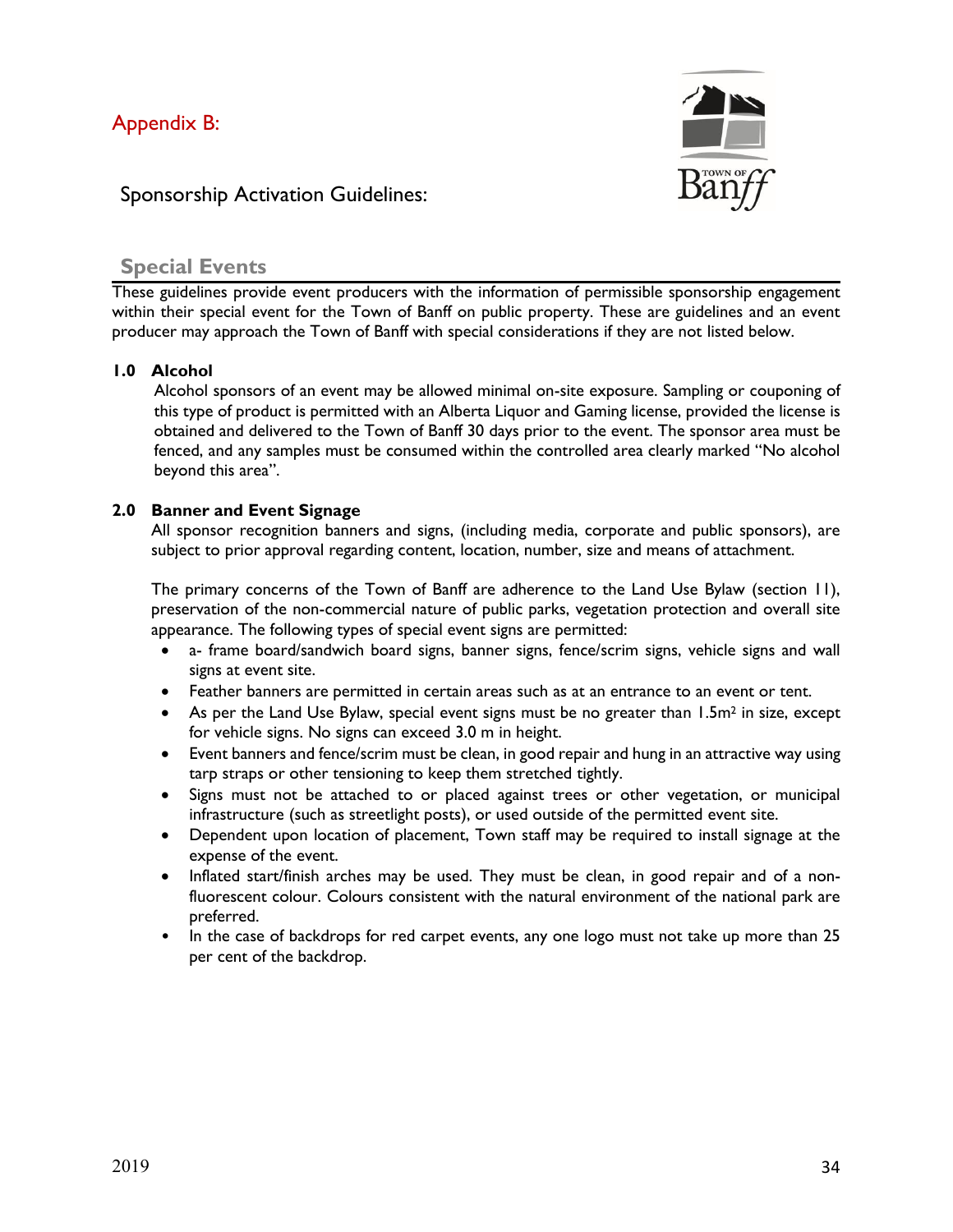

# Sponsorship Activation Guidelines:

## **Special Events**

These guidelines provide event producers with the information of permissible sponsorship engagement within their special event for the Town of Banff on public property. These are guidelines and an event producer may approach the Town of Banff with special considerations if they are not listed below.

## **1.0 Alcohol**

Alcohol sponsors of an event may be allowed minimal on-site exposure. Sampling or couponing of this type of product is permitted with an Alberta Liquor and Gaming license, provided the license is obtained and delivered to the Town of Banff 30 days prior to the event. The sponsor area must be fenced, and any samples must be consumed within the controlled area clearly marked "No alcohol beyond this area".

## **2.0 Banner and Event Signage**

All sponsor recognition banners and signs, (including media, corporate and public sponsors), are subject to prior approval regarding content, location, number, size and means of attachment.

The primary concerns of the Town of Banff are adherence to the Land Use Bylaw (section 11), preservation of the non-commercial nature of public parks, vegetation protection and overall site appearance. The following types of special event signs are permitted:

- a- frame board/sandwich board signs, banner signs, fence/scrim signs, vehicle signs and wall signs at event site.
- Feather banners are permitted in certain areas such as at an entrance to an event or tent.
- As per the Land Use Bylaw, special event signs must be no greater than  $1.5m<sup>2</sup>$  in size, except for vehicle signs. No signs can exceed 3.0 m in height.
- Event banners and fence/scrim must be clean, in good repair and hung in an attractive way using tarp straps or other tensioning to keep them stretched tightly.
- Signs must not be attached to or placed against trees or other vegetation, or municipal infrastructure (such as streetlight posts), or used outside of the permitted event site.
- Dependent upon location of placement, Town staff may be required to install signage at the expense of the event.
- Inflated start/finish arches may be used. They must be clean, in good repair and of a nonfluorescent colour. Colours consistent with the natural environment of the national park are preferred.
- In the case of backdrops for red carpet events, any one logo must not take up more than 25 per cent of the backdrop.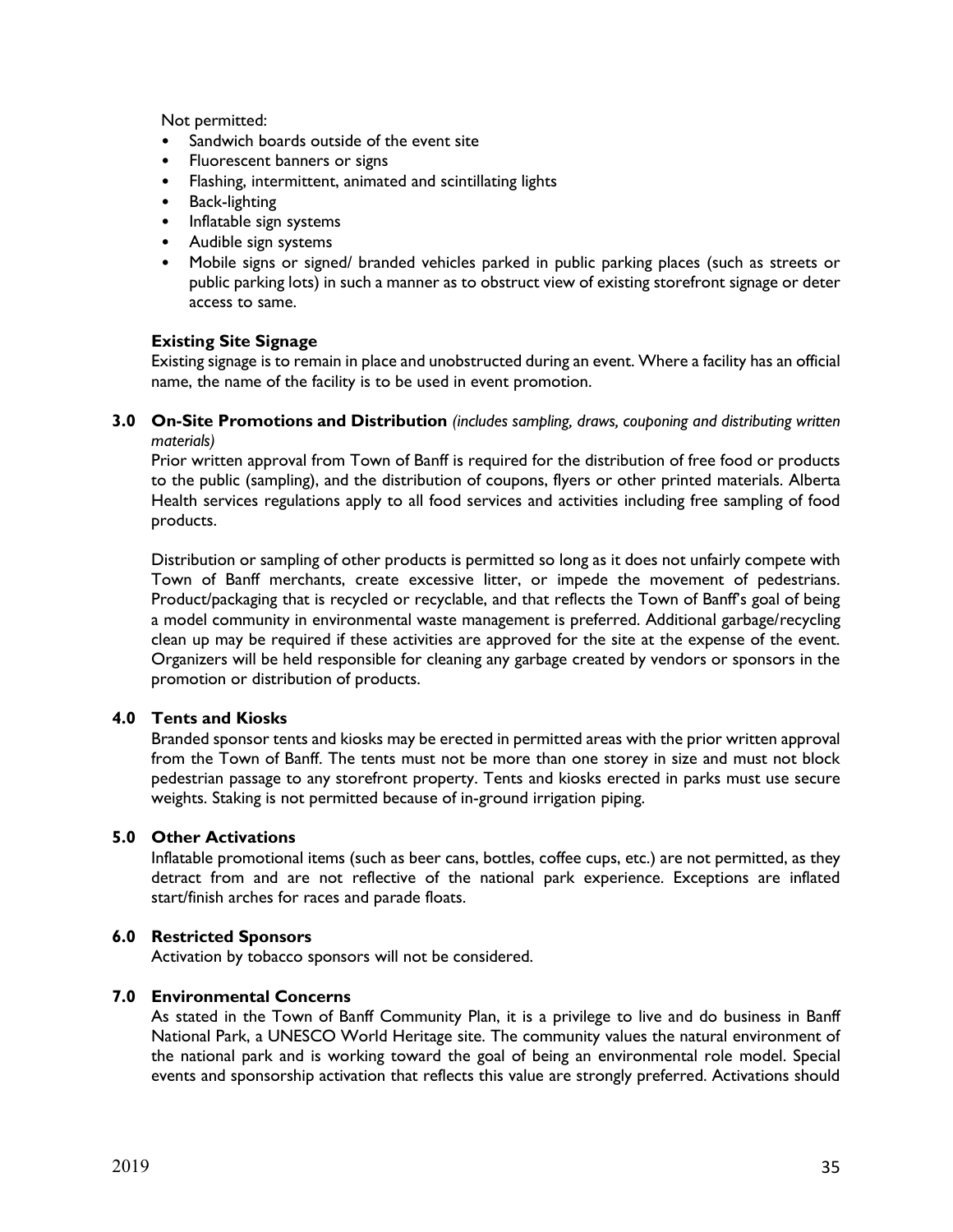Not permitted:

- Sandwich boards outside of the event site
- Fluorescent banners or signs
- Flashing, intermittent, animated and scintillating lights
- Back-lighting
- Inflatable sign systems
- Audible sign systems
- Mobile signs or signed/ branded vehicles parked in public parking places (such as streets or public parking lots) in such a manner as to obstruct view of existing storefront signage or deter access to same.

#### **Existing Site Signage**

Existing signage is to remain in place and unobstructed during an event. Where a facility has an official name, the name of the facility is to be used in event promotion.

**3.0 On-Site Promotions and Distribution** *(includes sampling, draws, couponing and distributing written materials)* 

Prior written approval from Town of Banff is required for the distribution of free food or products to the public (sampling), and the distribution of coupons, flyers or other printed materials. Alberta Health services regulations apply to all food services and activities including free sampling of food products.

Distribution or sampling of other products is permitted so long as it does not unfairly compete with Town of Banff merchants, create excessive litter, or impede the movement of pedestrians. Product/packaging that is recycled or recyclable, and that reflects the Town of Banff's goal of being a model community in environmental waste management is preferred. Additional garbage/recycling clean up may be required if these activities are approved for the site at the expense of the event. Organizers will be held responsible for cleaning any garbage created by vendors or sponsors in the promotion or distribution of products.

## **4.0 Tents and Kiosks**

Branded sponsor tents and kiosks may be erected in permitted areas with the prior written approval from the Town of Banff. The tents must not be more than one storey in size and must not block pedestrian passage to any storefront property. Tents and kiosks erected in parks must use secure weights. Staking is not permitted because of in-ground irrigation piping.

#### **5.0 Other Activations**

Inflatable promotional items (such as beer cans, bottles, coffee cups, etc.) are not permitted, as they detract from and are not reflective of the national park experience. Exceptions are inflated start/finish arches for races and parade floats.

## **6.0 Restricted Sponsors**

Activation by tobacco sponsors will not be considered.

#### **7.0 Environmental Concerns**

As stated in the Town of Banff Community Plan, it is a privilege to live and do business in Banff National Park, a UNESCO World Heritage site. The community values the natural environment of the national park and is working toward the goal of being an environmental role model. Special events and sponsorship activation that reflects this value are strongly preferred. Activations should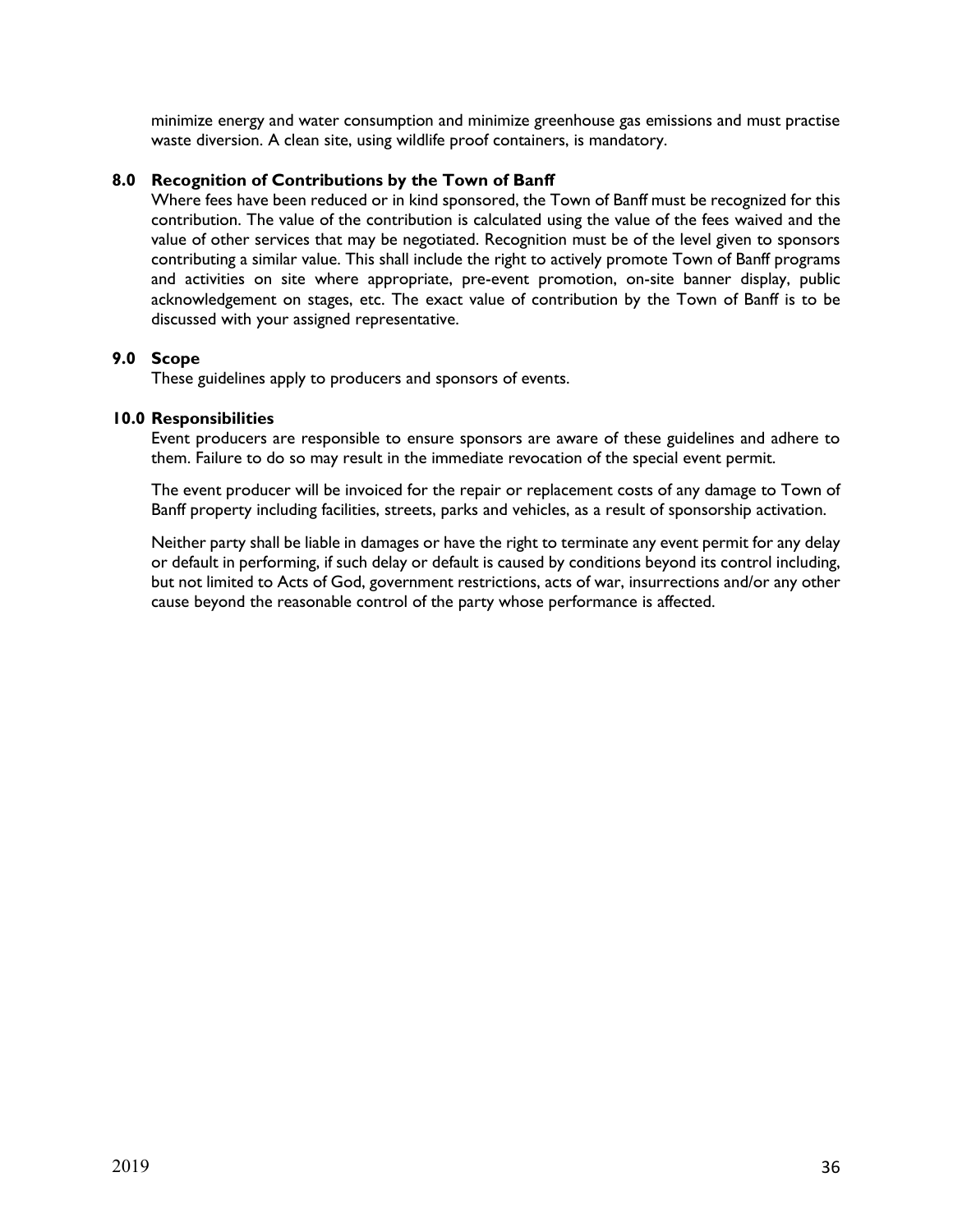minimize energy and water consumption and minimize greenhouse gas emissions and must practise waste diversion. A clean site, using wildlife proof containers, is mandatory.

## **8.0 Recognition of Contributions by the Town of Banff**

Where fees have been reduced or in kind sponsored, the Town of Banff must be recognized for this contribution. The value of the contribution is calculated using the value of the fees waived and the value of other services that may be negotiated. Recognition must be of the level given to sponsors contributing a similar value. This shall include the right to actively promote Town of Banff programs and activities on site where appropriate, pre-event promotion, on-site banner display, public acknowledgement on stages, etc. The exact value of contribution by the Town of Banff is to be discussed with your assigned representative.

#### **9.0 Scope**

These guidelines apply to producers and sponsors of events.

#### **10.0 Responsibilities**

Event producers are responsible to ensure sponsors are aware of these guidelines and adhere to them. Failure to do so may result in the immediate revocation of the special event permit.

The event producer will be invoiced for the repair or replacement costs of any damage to Town of Banff property including facilities, streets, parks and vehicles, as a result of sponsorship activation.

Neither party shall be liable in damages or have the right to terminate any event permit for any delay or default in performing, if such delay or default is caused by conditions beyond its control including, but not limited to Acts of God, government restrictions, acts of war, insurrections and/or any other cause beyond the reasonable control of the party whose performance is affected.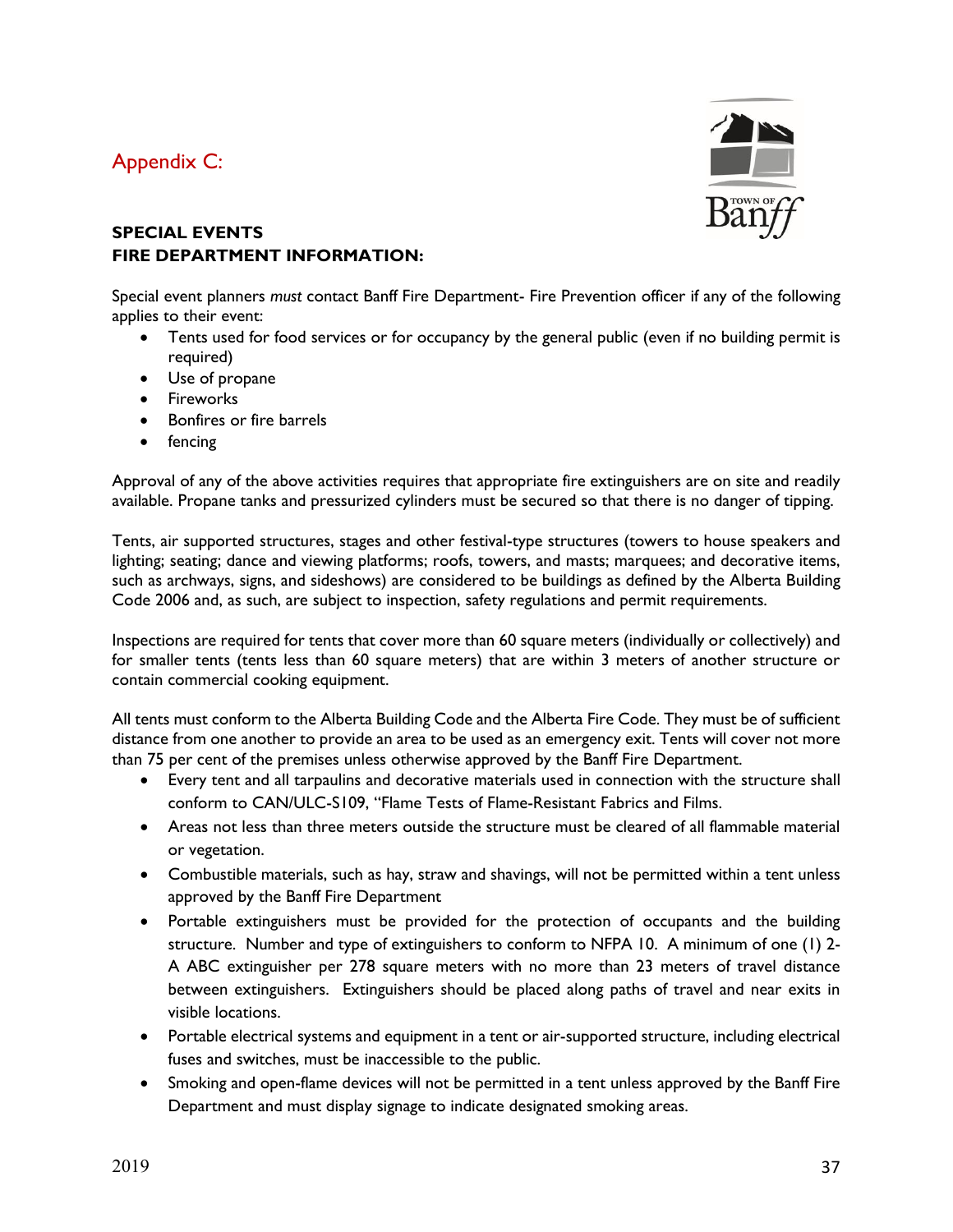# Appendix C:



## **SPECIAL EVENTS FIRE DEPARTMENT INFORMATION:**

Special event planners *must* contact Banff Fire Department- Fire Prevention officer if any of the following applies to their event:

- Tents used for food services or for occupancy by the general public (even if no building permit is required)
- Use of propane
- **•** Fireworks
- Bonfires or fire barrels
- fencing

Approval of any of the above activities requires that appropriate fire extinguishers are on site and readily available. Propane tanks and pressurized cylinders must be secured so that there is no danger of tipping.

Tents, air supported structures, stages and other festival-type structures (towers to house speakers and lighting; seating; dance and viewing platforms; roofs, towers, and masts; marquees; and decorative items, such as archways, signs, and sideshows) are considered to be buildings as defined by the Alberta Building Code 2006 and, as such, are subject to inspection, safety regulations and permit requirements.

Inspections are required for tents that cover more than 60 square meters (individually or collectively) and for smaller tents (tents less than 60 square meters) that are within 3 meters of another structure or contain commercial cooking equipment.

All tents must conform to the Alberta Building Code and the Alberta Fire Code. They must be of sufficient distance from one another to provide an area to be used as an emergency exit. Tents will cover not more than 75 per cent of the premises unless otherwise approved by the Banff Fire Department.

- Every tent and all tarpaulins and decorative materials used in connection with the structure shall conform to CAN/ULC-S109, "Flame Tests of Flame-Resistant Fabrics and Films.
- Areas not less than three meters outside the structure must be cleared of all flammable material or vegetation.
- Combustible materials, such as hay, straw and shavings, will not be permitted within a tent unless approved by the Banff Fire Department
- Portable extinguishers must be provided for the protection of occupants and the building structure. Number and type of extinguishers to conform to NFPA 10. A minimum of one (1) 2- A ABC extinguisher per 278 square meters with no more than 23 meters of travel distance between extinguishers. Extinguishers should be placed along paths of travel and near exits in visible locations.
- Portable electrical systems and equipment in a tent or air-supported structure, including electrical fuses and switches, must be inaccessible to the public.
- Smoking and open-flame devices will not be permitted in a tent unless approved by the Banff Fire Department and must display signage to indicate designated smoking areas.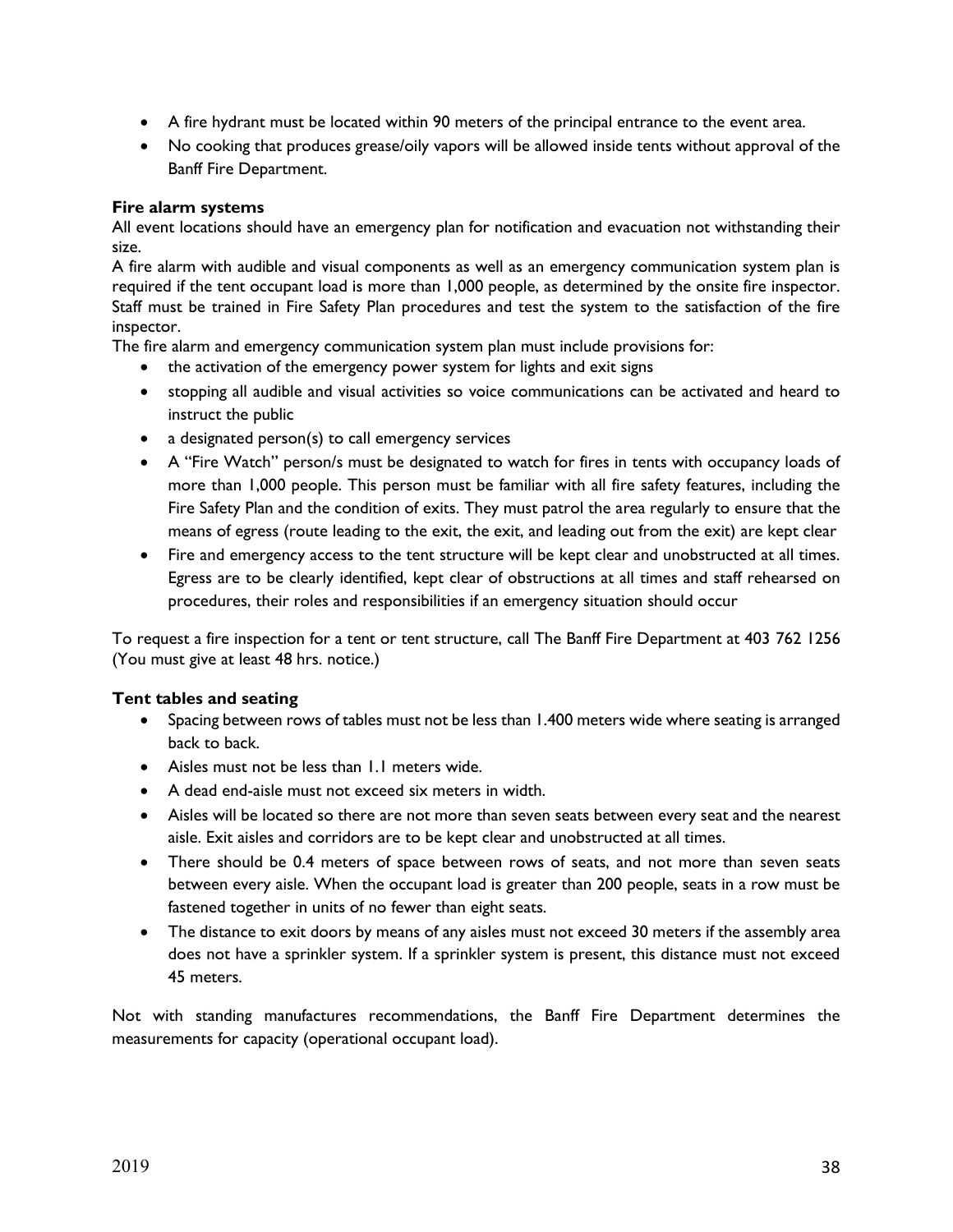- A fire hydrant must be located within 90 meters of the principal entrance to the event area.
- No cooking that produces grease/oily vapors will be allowed inside tents without approval of the Banff Fire Department.

#### **Fire alarm systems**

All event locations should have an emergency plan for notification and evacuation not withstanding their size.

A fire alarm with audible and visual components as well as an emergency communication system plan is required if the tent occupant load is more than 1,000 people, as determined by the onsite fire inspector. Staff must be trained in Fire Safety Plan procedures and test the system to the satisfaction of the fire inspector.

The fire alarm and emergency communication system plan must include provisions for:

- the activation of the emergency power system for lights and exit signs
- stopping all audible and visual activities so voice communications can be activated and heard to instruct the public
- a designated person(s) to call emergency services
- A "Fire Watch" person/s must be designated to watch for fires in tents with occupancy loads of more than 1,000 people. This person must be familiar with all fire safety features, including the Fire Safety Plan and the condition of exits. They must patrol the area regularly to ensure that the means of egress (route leading to the exit, the exit, and leading out from the exit) are kept clear
- Fire and emergency access to the tent structure will be kept clear and unobstructed at all times. Egress are to be clearly identified, kept clear of obstructions at all times and staff rehearsed on procedures, their roles and responsibilities if an emergency situation should occur

To request a fire inspection for a tent or tent structure, call The Banff Fire Department at 403 762 1256 (You must give at least 48 hrs. notice.)

#### **Tent tables and seating**

- Spacing between rows of tables must not be less than 1.400 meters wide where seating is arranged back to back.
- Aisles must not be less than 1.1 meters wide.
- A dead end-aisle must not exceed six meters in width.
- Aisles will be located so there are not more than seven seats between every seat and the nearest aisle. Exit aisles and corridors are to be kept clear and unobstructed at all times.
- There should be 0.4 meters of space between rows of seats, and not more than seven seats between every aisle. When the occupant load is greater than 200 people, seats in a row must be fastened together in units of no fewer than eight seats.
- The distance to exit doors by means of any aisles must not exceed 30 meters if the assembly area does not have a sprinkler system. If a sprinkler system is present, this distance must not exceed 45 meters.

Not with standing manufactures recommendations, the Banff Fire Department determines the measurements for capacity (operational occupant load).